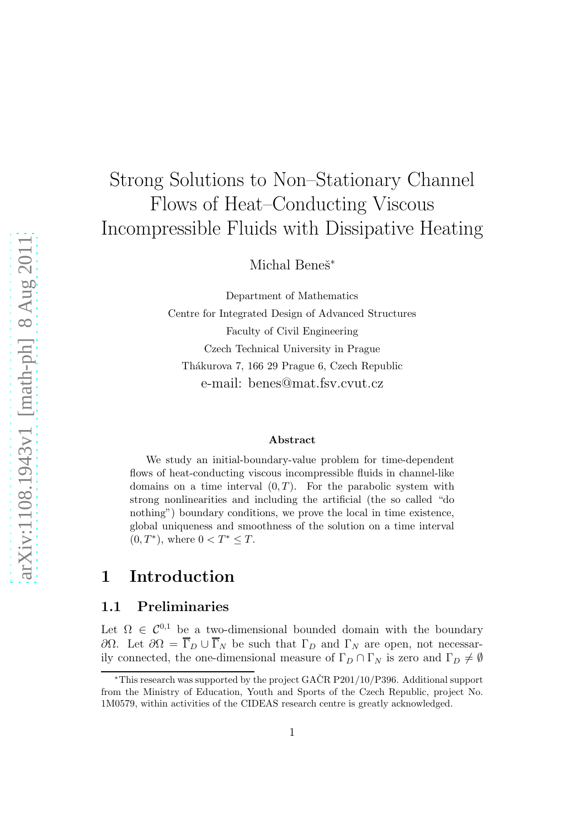# Strong Solutions to Non–Stationary Channel Flows of Heat–Conducting Viscous Incompressible Fluids with Dissipative Heating

Michal Beneš<sup>\*</sup>

Department of Mathematics Centre for Integrated Design of Advanced Structures Faculty of Civil Engineering Czech Technical University in Prague Thákurova 7, 166 29 Prague 6, Czech Republic e-mail: benes@mat.fsv.cvut.cz

#### Abstract

We study an initial-boundary-value problem for time-dependent flows of heat-conducting viscous incompressible fluids in channel-like domains on a time interval  $(0, T)$ . For the parabolic system with strong nonlinearities and including the artificial (the so called "do nothing") boundary conditions, we prove the local in time existence, global uniqueness and smoothness of the solution on a time interval  $(0, T^*),$  where  $0 < T^* \leq T$ .

### 1 Introduction

#### 1.1 Preliminaries

Let  $\Omega \in \mathcal{C}^{0,1}$  be a two-dimensional bounded domain with the boundary  $∂Ω.$  Let  $∂Ω = Γ<sub>D</sub> ∪ Γ<sub>N</sub>$  be such that Γ<sub>D</sub> and Γ<sub>N</sub> are open, not necessarily connected, the one-dimensional measure of  $\Gamma_D \cap \Gamma_N$  is zero and  $\Gamma_D \neq \emptyset$ 

<sup>\*</sup>This research was supported by the project  $GA\check{C}R$  P201/10/P396. Additional support from the Ministry of Education, Youth and Sports of the Czech Republic, project No. 1M0579, within activities of the CIDEAS research centre is greatly acknowledged.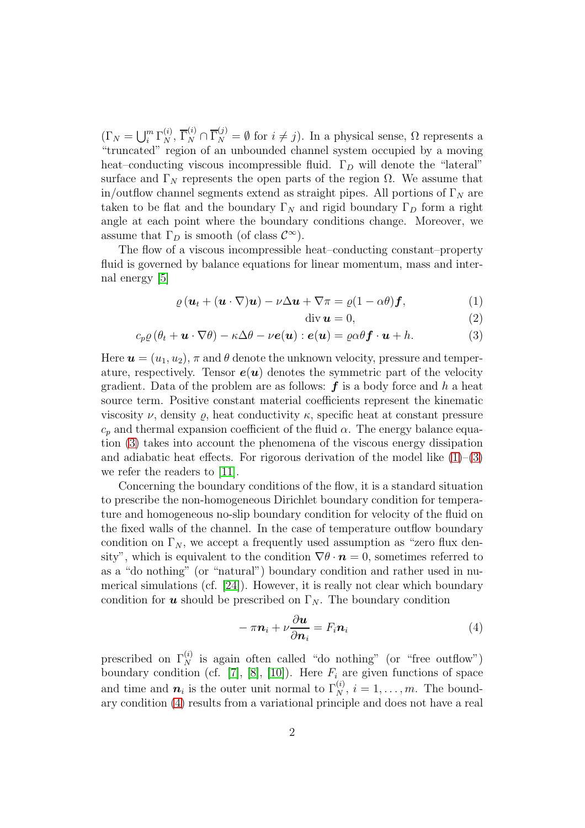$(\Gamma_N = \bigcup_i^m \Gamma_N^{(i)}, \overline{\Gamma}_N^{(i)} \cap \overline{\Gamma}_N^{(j)} = \emptyset$  for  $i \neq j$ ). In a physical sense,  $\Omega$  represents a "truncated" region of an unbounded channel system occupied by a moving heat–conducting viscous incompressible fluid.  $\Gamma_D$  will denote the "lateral" surface and  $\Gamma_N$  represents the open parts of the region  $\Omega$ . We assume that in/outflow channel segments extend as straight pipes. All portions of  $\Gamma_N$  are taken to be flat and the boundary  $\Gamma_N$  and rigid boundary  $\Gamma_D$  form a right angle at each point where the boundary conditions change. Moreover, we assume that  $\Gamma_D$  is smooth (of class  $\mathcal{C}^{\infty}$ ).

The flow of a viscous incompressible heat–conducting constant–property fluid is governed by balance equations for linear momentum, mass and internal energy [\[5\]](#page-19-0)

$$
\varrho(\boldsymbol{u}_t + (\boldsymbol{u} \cdot \nabla)\boldsymbol{u}) - \nu \Delta \boldsymbol{u} + \nabla \pi = \varrho(1 - \alpha \theta) \boldsymbol{f}, \tag{1}
$$

<span id="page-1-1"></span><span id="page-1-0"></span>
$$
\operatorname{div} \mathbf{u} = 0,\tag{2}
$$

$$
c_p \varrho \left( \theta_t + \boldsymbol{u} \cdot \nabla \theta \right) - \kappa \Delta \theta - \nu \boldsymbol{e}(\boldsymbol{u}) : \boldsymbol{e}(\boldsymbol{u}) = \varrho \alpha \theta \boldsymbol{f} \cdot \boldsymbol{u} + h. \tag{3}
$$

Here  $u = (u_1, u_2)$ ,  $\pi$  and  $\theta$  denote the unknown velocity, pressure and temperature, respectively. Tensor  $e(u)$  denotes the symmetric part of the velocity gradient. Data of the problem are as follows:  $f$  is a body force and h a heat source term. Positive constant material coefficients represent the kinematic viscosity  $\nu$ , density  $\rho$ , heat conductivity  $\kappa$ , specific heat at constant pressure  $c_p$  and thermal expansion coefficient of the fluid  $\alpha$ . The energy balance equation [\(3\)](#page-1-0) takes into account the phenomena of the viscous energy dissipation and adiabatic heat effects. For rigorous derivation of the model like  $(1)$ – $(3)$ we refer the readers to [\[11\]](#page-20-0).

Concerning the boundary conditions of the flow, it is a standard situation to prescribe the non-homogeneous Dirichlet boundary condition for temperature and homogeneous no-slip boundary condition for velocity of the fluid on the fixed walls of the channel. In the case of temperature outflow boundary condition on  $\Gamma_N$ , we accept a frequently used assumption as "zero flux density", which is equivalent to the condition  $\nabla \theta \cdot \mathbf{n} = 0$ , sometimes referred to as a "do nothing" (or "natural") boundary condition and rather used in numerical simulations (cf. [\[24\]](#page-21-0)). However, it is really not clear which boundary condition for **u** should be prescribed on  $\Gamma_N$ . The boundary condition

<span id="page-1-2"></span>
$$
-\pi n_i + \nu \frac{\partial u}{\partial n_i} = F_i n_i \tag{4}
$$

prescribed on  $\Gamma_N^{(i)}$  is again often called "do nothing" (or "free outflow") boundary condition (cf. [\[7\]](#page-19-1), [\[8\]](#page-19-2), [\[10\]](#page-19-3)). Here  $F_i$  are given functions of space and time and  $n_i$  is the outer unit normal to  $\Gamma_N^{(i)}$ ,  $i = 1, \ldots, m$ . The boundary condition [\(4\)](#page-1-2) results from a variational principle and does not have a real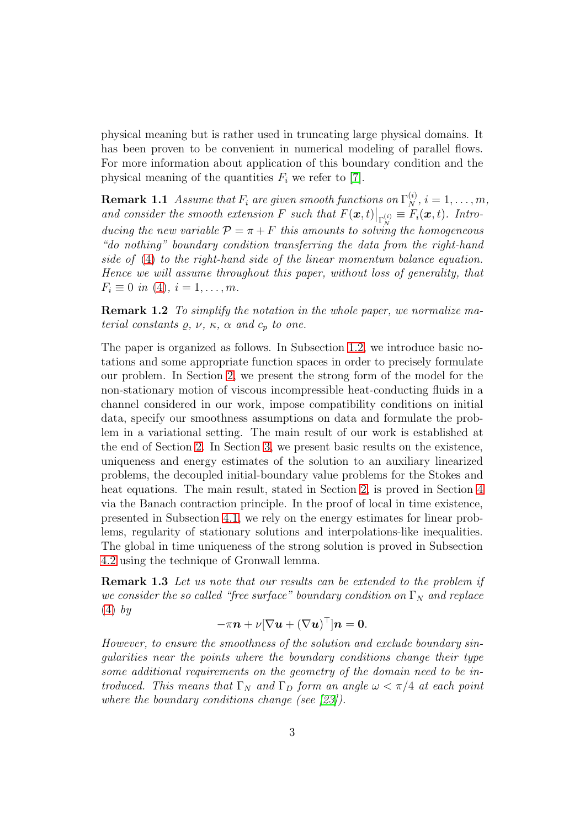physical meaning but is rather used in truncating large physical domains. It has been proven to be convenient in numerical modeling of parallel flows. For more information about application of this boundary condition and the physical meaning of the quantities  $F_i$  we refer to [\[7\]](#page-19-1).

**Remark 1.1** Assume that  $F_i$  are given smooth functions on  $\Gamma_N^{(i)}$ ,  $i = 1, \ldots, m$ , and consider the smooth extension F such that  $F(\mathbf{x},t)|_{\Gamma_N^{(i)}} \equiv F_i(\mathbf{x},t)$ . Introducing the new variable  $\mathcal{P} = \pi + F$  this amounts to solving the homogeneous "do nothing" boundary condition transferring the data from the right-hand side of [\(4\)](#page-1-2) to the right-hand side of the linear momentum balance equation. Hence we will assume throughout this paper, without loss of generality, that  $F_i \equiv 0 \in (4), i = 1, \ldots, m.$  $F_i \equiv 0 \in (4), i = 1, \ldots, m.$  $F_i \equiv 0 \in (4), i = 1, \ldots, m.$ 

**Remark 1.2** To simplify the notation in the whole paper, we normalize material constants  $\varrho$ ,  $\nu$ ,  $\kappa$ ,  $\alpha$  and  $c_p$  to one.

The paper is organized as follows. In Subsection [1.2,](#page-3-0) we introduce basic notations and some appropriate function spaces in order to precisely formulate our problem. In Section [2,](#page-4-0) we present the strong form of the model for the non-stationary motion of viscous incompressible heat-conducting fluids in a channel considered in our work, impose compatibility conditions on initial data, specify our smoothness assumptions on data and formulate the problem in a variational setting. The main result of our work is established at the end of Section [2.](#page-4-0) In Section [3,](#page-7-0) we present basic results on the existence, uniqueness and energy estimates of the solution to an auxiliary linearized problems, the decoupled initial-boundary value problems for the Stokes and heat equations. The main result, stated in Section [2,](#page-4-0) is proved in Section [4](#page-8-0) via the Banach contraction principle. In the proof of local in time existence, presented in Subsection [4.1,](#page-8-1) we rely on the energy estimates for linear problems, regularity of stationary solutions and interpolations-like inequalities. The global in time uniqueness of the strong solution is proved in Subsection [4.2](#page-15-0) using the technique of Gronwall lemma.

Remark 1.3 Let us note that our results can be extended to the problem if we consider the so called "free surface" boundary condition on  $\Gamma_N$  and replace  $(4)$  by

$$
-\pi \boldsymbol{n} + \nu [\nabla \boldsymbol{u} + (\nabla \boldsymbol{u})^{\top}]\boldsymbol{n} = \boldsymbol{0}.
$$

However, to ensure the smoothness of the solution and exclude boundary singularities near the points where the boundary conditions change their type some additional requirements on the geometry of the domain need to be introduced. This means that  $\Gamma_N$  and  $\Gamma_D$  form an angle  $\omega < \pi/4$  at each point where the boundary conditions change (see [\[23\]](#page-21-1)).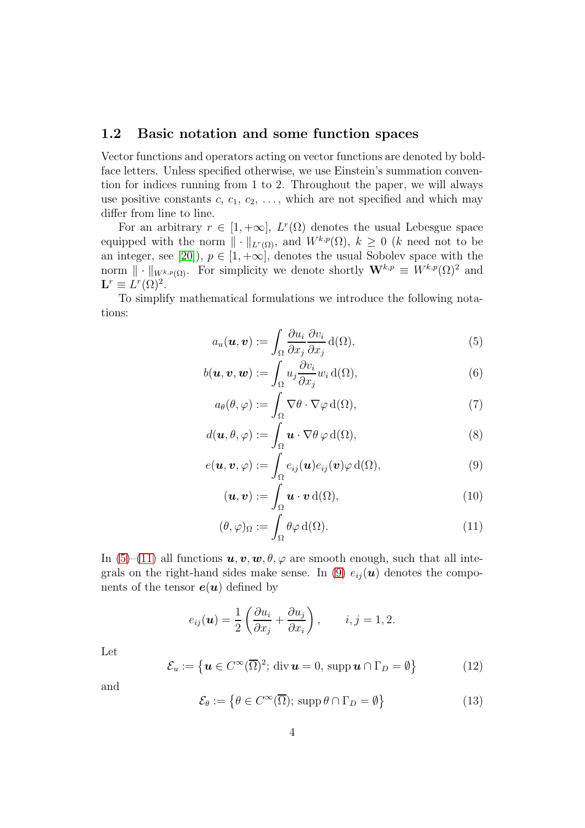#### <span id="page-3-0"></span>1.2 Basic notation and some function spaces

Vector functions and operators acting on vector functions are denoted by boldface letters. Unless specified otherwise, we use Einstein's summation convention for indices running from 1 to 2. Throughout the paper, we will always use positive constants  $c, c_1, c_2, \ldots$ , which are not specified and which may differ from line to line.

For an arbitrary  $r \in [1, +\infty]$ ,  $L^r(\Omega)$  denotes the usual Lebesgue space equipped with the norm  $\|\cdot\|_{L^r(\Omega)}$ , and  $W^{k,p}(\Omega)$ ,  $k \geq 0$  (k need not to be an integer, see [\[20\]](#page-20-1)),  $p \in [1, +\infty]$ , denotes the usual Sobolev space with the norm  $\|\cdot\|_{W^{k,p}(\Omega)}$ . For simplicity we denote shortly  $\mathbf{W}^{k,p} \equiv W^{k,p}(\Omega)^2$  and  $\mathbf{L}^r \equiv L^r(\Omega)^2.$ 

To simplify mathematical formulations we introduce the following notations:

<span id="page-3-1"></span>
$$
a_u(\mathbf{u}, \mathbf{v}) := \int_{\Omega} \frac{\partial u_i}{\partial x_j} \frac{\partial v_i}{\partial x_j} d(\Omega), \tag{5}
$$

$$
b(\boldsymbol{u}, \boldsymbol{v}, \boldsymbol{w}) := \int_{\Omega} u_j \frac{\partial v_i}{\partial x_j} w_i \, d(\Omega), \tag{6}
$$

<span id="page-3-4"></span>
$$
a_{\theta}(\theta,\varphi) := \int_{\Omega} \nabla \theta \cdot \nabla \varphi \,d(\Omega),\tag{7}
$$

$$
d(\mathbf{u}, \theta, \varphi) := \int_{\Omega} \mathbf{u} \cdot \nabla \theta \varphi \, d(\Omega), \tag{8}
$$

$$
e(\boldsymbol{u}, \boldsymbol{v}, \varphi) := \int_{\Omega} e_{ij}(\boldsymbol{u}) e_{ij}(\boldsymbol{v}) \varphi \, d(\Omega), \tag{9}
$$

<span id="page-3-5"></span><span id="page-3-3"></span>
$$
(\boldsymbol{u}, \boldsymbol{v}) := \int_{\Omega} \boldsymbol{u} \cdot \boldsymbol{v} \, d(\Omega), \tag{10}
$$

<span id="page-3-2"></span>
$$
(\theta, \varphi)_{\Omega} := \int_{\Omega} \theta \varphi \, d(\Omega). \tag{11}
$$

In [\(5\)](#page-3-1)–[\(11\)](#page-3-2) all functions  $u, v, w, \theta, \varphi$  are smooth enough, such that all inte-grals on the right-hand sides make sense. In [\(9\)](#page-3-3)  $e_{ij}(\mathbf{u})$  denotes the components of the tensor  $e(u)$  defined by

$$
e_{ij}(\mathbf{u}) = \frac{1}{2} \left( \frac{\partial u_i}{\partial x_j} + \frac{\partial u_j}{\partial x_i} \right), \qquad i, j = 1, 2.
$$

Let

$$
\mathcal{E}_u := \left\{ \boldsymbol{u} \in C^\infty(\overline{\Omega})^2; \text{ div } \boldsymbol{u} = 0, \text{ supp } \boldsymbol{u} \cap \Gamma_D = \emptyset \right\}
$$
 (12)

and

$$
\mathcal{E}_{\theta} := \left\{ \theta \in C^{\infty}(\overline{\Omega}); \, \operatorname{supp} \theta \cap \Gamma_D = \emptyset \right\}
$$
 (13)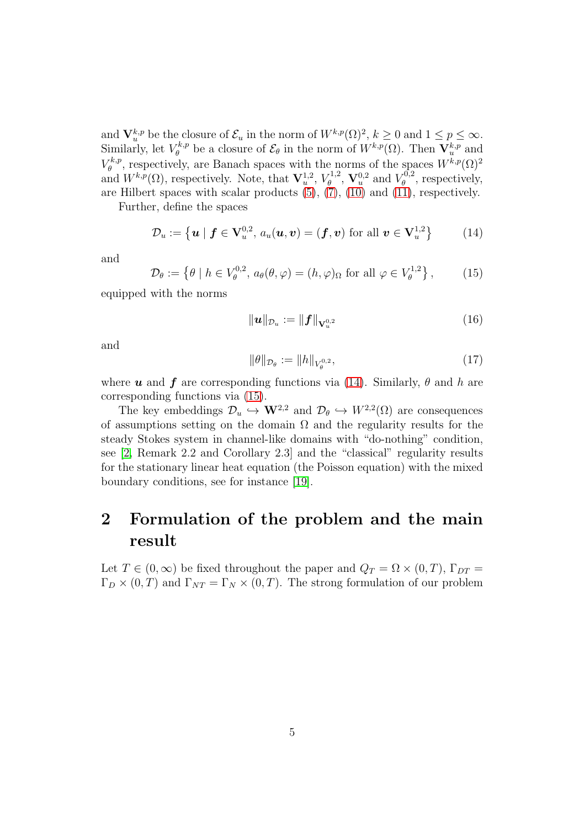and  $\mathbf{V}_u^{k,p}$  be the closure of  $\mathcal{E}_u$  in the norm of  $W^{k,p}(\Omega)^2$ ,  $k \geq 0$  and  $1 \leq p \leq \infty$ . Similarly, let  $V^{k,p}_{\theta}$ <sup>*k*,*p*</sup> be a closure of  $\mathcal{E}_{\theta}$  in the norm of  $W^{k,p}(\Omega)$ . Then  $\mathbf{V}_u^{k,p}$  and  $V_{\theta}^{k,p}$ , respectively, are Banach spaces with the norms of the spaces  $W^{k,p}(\Omega)^2$  $W_{\theta}$ , respectively, are Banach spaces with the in<br>and  $W^{k,p}(\Omega)$ , respectively. Note, that  $V_{u}^{1,2}, V_{\theta}^{1,2}$  $V_{\theta}^{1,2}$ ,  $\mathbf{V}_{u}^{0,2}$  and  $V_{\theta}^{0,2}$  $\theta_{\theta}^{\nu,2}$ , respectively, are Hilbert spaces with scalar products  $(5)$ ,  $(7)$ ,  $(10)$  and  $(11)$ , respectively.

Further, define the spaces

<span id="page-4-1"></span>
$$
\mathcal{D}_u := \left\{ \boldsymbol{u} \mid \boldsymbol{f} \in \mathbf{V}_u^{0,2}, \, a_u(\boldsymbol{u}, \boldsymbol{v}) = (\boldsymbol{f}, \boldsymbol{v}) \text{ for all } \boldsymbol{v} \in \mathbf{V}_u^{1,2} \right\} \tag{14}
$$

and

<span id="page-4-2"></span>
$$
\mathcal{D}_{\theta} := \left\{ \theta \mid h \in V_{\theta}^{0,2}, \, a_{\theta}(\theta, \varphi) = (h, \varphi)_{\Omega} \text{ for all } \varphi \in V_{\theta}^{1,2} \right\},\qquad(15)
$$

equipped with the norms

$$
\|\boldsymbol{u}\|_{\mathcal{D}_u} := \|\boldsymbol{f}\|_{\mathbf{V}_u^{0,2}}\tag{16}
$$

and

$$
\|\theta\|_{\mathcal{D}_{\theta}} := \|h\|_{V^{0,2}_{\theta}},\tag{17}
$$

where **u** and **f** are corresponding functions via [\(14\)](#page-4-1). Similarly,  $\theta$  and h are corresponding functions via [\(15\)](#page-4-2).

The key embeddings  $\mathcal{D}_u \hookrightarrow \mathbf{W}^{2,2}$  and  $\mathcal{D}_\theta \hookrightarrow W^{2,2}(\Omega)$  are consequences of assumptions setting on the domain  $\Omega$  and the regularity results for the steady Stokes system in channel-like domains with "do-nothing" condition, see [\[2,](#page-19-4) Remark 2.2 and Corollary 2.3] and the "classical" regularity results for the stationary linear heat equation (the Poisson equation) with the mixed boundary conditions, see for instance [\[19\]](#page-20-2).

## <span id="page-4-0"></span>2 Formulation of the problem and the main result

Let  $T \in (0,\infty)$  be fixed throughout the paper and  $Q_T = \Omega \times (0,T)$ ,  $\Gamma_{DT} =$  $\Gamma_D \times (0,T)$  and  $\Gamma_{NT} = \Gamma_N \times (0,T)$ . The strong formulation of our problem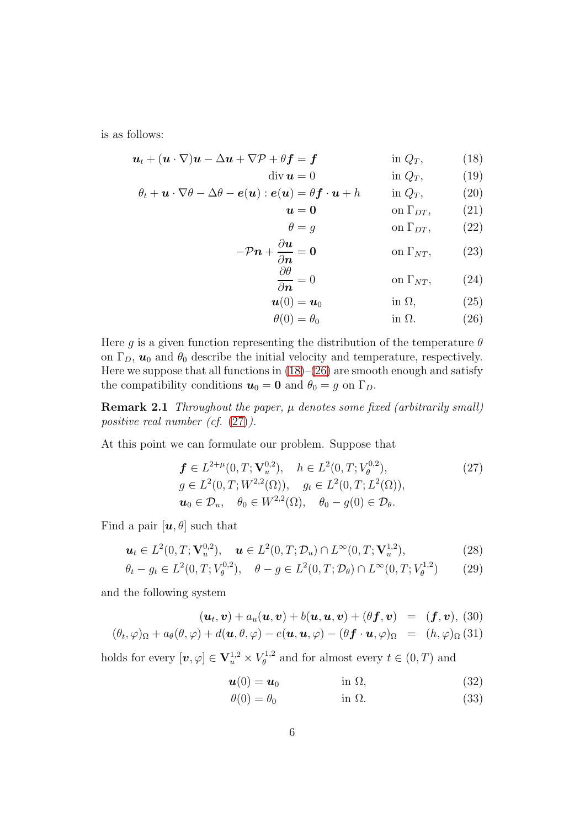is as follows:

$$
\boldsymbol{u}_t + (\boldsymbol{u} \cdot \nabla)\boldsymbol{u} - \Delta \boldsymbol{u} + \nabla \mathcal{P} + \theta \boldsymbol{f} = \boldsymbol{f} \qquad \text{in } Q_T, \qquad (18)
$$

$$
\operatorname{div} \boldsymbol{u} = 0 \qquad \qquad \text{in } Q_T, \qquad \qquad (19)
$$

$$
\theta_t + \mathbf{u} \cdot \nabla \theta - \Delta \theta - \mathbf{e}(\mathbf{u}) : \mathbf{e}(\mathbf{u}) = \theta \mathbf{f} \cdot \mathbf{u} + h \qquad \text{in } Q_T, \tag{20}
$$

<span id="page-5-0"></span>
$$
\mathbf{u} = \mathbf{0} \qquad \text{on } \Gamma_{DT}, \qquad (21)
$$

<span id="page-5-4"></span><span id="page-5-3"></span>
$$
\theta = g \qquad \qquad \text{on } \Gamma_{DT}, \qquad (22)
$$

$$
-\mathcal{P}\boldsymbol{n} + \frac{\partial \boldsymbol{u}}{\partial \boldsymbol{n}} = \mathbf{0} \qquad \text{on } \Gamma_{NT}, \qquad (23)
$$

$$
\frac{\partial \theta}{\partial \mathbf{n}} = 0 \qquad \text{on } \Gamma_{NT}, \qquad (24)
$$

$$
\boldsymbol{u}(0) = \boldsymbol{u}_0 \qquad \qquad \text{in } \Omega,\tag{25}
$$

<span id="page-5-2"></span><span id="page-5-1"></span>
$$
\theta(0) = \theta_0 \qquad \qquad \text{in } \Omega. \tag{26}
$$

Here g is a given function representing the distribution of the temperature  $\theta$ on  $\Gamma_D$ ,  $u_0$  and  $\theta_0$  describe the initial velocity and temperature, respectively. Here we suppose that all functions in  $(18)$ – $(26)$  are smooth enough and satisfy the compatibility conditions  $u_0 = 0$  and  $\theta_0 = g$  on  $\Gamma_D$ .

**Remark 2.1** Throughout the paper,  $\mu$  denotes some fixed (arbitrarily small) positive real number (cf. [\(27\)](#page-5-2)).

At this point we can formulate our problem. Suppose that

$$
\mathbf{f} \in L^{2+\mu}(0, T; \mathbf{V}_u^{0,2}), \quad h \in L^2(0, T; V_\theta^{0,2}), \ng \in L^2(0, T; W^{2,2}(\Omega)), \quad g_t \in L^2(0, T; L^2(\Omega)), \n\mathbf{u}_0 \in \mathcal{D}_u, \quad \theta_0 \in W^{2,2}(\Omega), \quad \theta_0 - g(0) \in \mathcal{D}_\theta.
$$
\n(27)

Find a pair  $[\boldsymbol{u}, \theta]$  such that

$$
\mathbf{u}_t \in L^2(0, T; \mathbf{V}_u^{0,2}), \quad \mathbf{u} \in L^2(0, T; \mathcal{D}_u) \cap L^\infty(0, T; \mathbf{V}_u^{1,2}), \tag{28}
$$

$$
\theta_t - g_t \in L^2(0, T; V_{\theta}^{0,2}), \quad \theta - g \in L^2(0, T; \mathcal{D}_{\theta}) \cap L^{\infty}(0, T; V_{\theta}^{1,2}) \tag{29}
$$

and the following system

$$
(\mathbf{u}_t, \mathbf{v}) + a_u(\mathbf{u}, \mathbf{v}) + b(\mathbf{u}, \mathbf{u}, \mathbf{v}) + (\theta \mathbf{f}, \mathbf{v}) = (\mathbf{f}, \mathbf{v}), (30)
$$
  

$$
(\theta_t, \varphi)_{\Omega} + a_{\theta}(\theta, \varphi) + d(\mathbf{u}, \theta, \varphi) - e(\mathbf{u}, \mathbf{u}, \varphi) - (\theta \mathbf{f} \cdot \mathbf{u}, \varphi)_{\Omega} = (h, \varphi)_{\Omega} (31)
$$

holds for every  $[\boldsymbol{v}, \varphi] \in \mathbf{V}_u^{1,2} \times V_\theta^{1,2}$  $\theta_{\theta}^{t_1, t_2}$  and for almost every  $t \in (0, T)$  and

$$
\mathbf{u}(0) = \mathbf{u}_0 \qquad \text{in } \Omega,\tag{32}
$$

$$
\theta(0) = \theta_0 \qquad \qquad \text{in } \Omega. \tag{33}
$$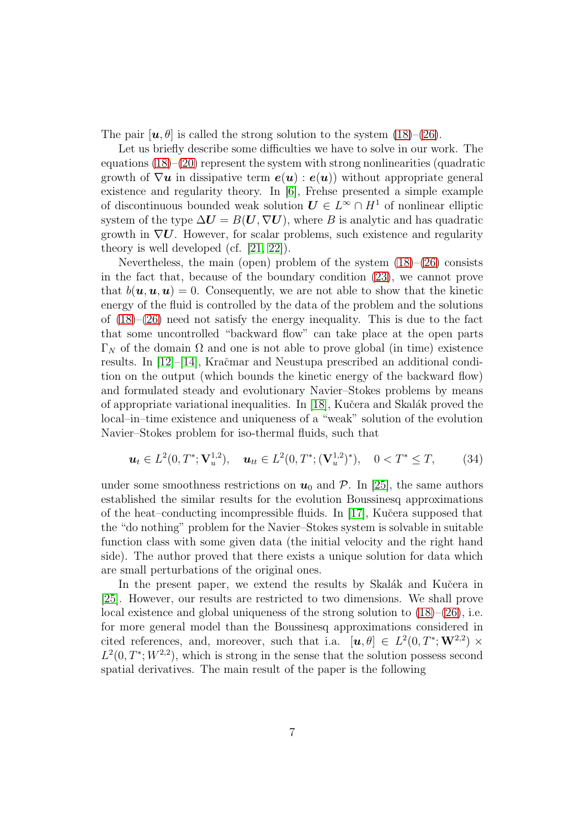The pair  $[u, \theta]$  is called the strong solution to the system [\(18\)](#page-5-0)–[\(26\)](#page-5-1).

Let us briefly describe some difficulties we have to solve in our work. The equations  $(18)–(20)$  $(18)–(20)$  represent the system with strong nonlinearities (quadratic growth of  $\nabla u$  in dissipative term  $e(u)$ :  $e(u)$ ) without appropriate general existence and regularity theory. In [\[6\]](#page-19-5), Frehse presented a simple example of discontinuous bounded weak solution  $U \in L^{\infty} \cap H^{1}$  of nonlinear elliptic system of the type  $\Delta U = B(U, \nabla U)$ , where B is analytic and has quadratic growth in  $\nabla U$ . However, for scalar problems, such existence and regularity theory is well developed (cf. [\[21,](#page-20-3) [22\]](#page-20-4)).

Nevertheless, the main (open) problem of the system  $(18)$ – $(26)$  consists in the fact that, because of the boundary condition [\(23\)](#page-5-4), we cannot prove that  $b(\mathbf{u}, \mathbf{u}, \mathbf{u}) = 0$ . Consequently, we are not able to show that the kinetic energy of the fluid is controlled by the data of the problem and the solutions of  $(18)$ – $(26)$  need not satisfy the energy inequality. This is due to the fact that some uncontrolled "backward flow" can take place at the open parts  $\Gamma_N$  of the domain Ω and one is not able to prove global (in time) existence results. In [\[12\]](#page-20-5)–[\[14\]](#page-20-6), Kračmar and Neustupa prescribed an additional condition on the output (which bounds the kinetic energy of the backward flow) and formulated steady and evolutionary Navier–Stokes problems by means of appropriate variational inequalities. In [\[18\]](#page-20-7), Kučera and Skalák proved the local–in–time existence and uniqueness of a "weak" solution of the evolution Navier–Stokes problem for iso-thermal fluids, such that

$$
\mathbf{u}_t \in L^2(0, T^*; \mathbf{V}_u^{1,2}), \quad \mathbf{u}_{tt} \in L^2(0, T^*; (\mathbf{V}_u^{1,2})^*), \quad 0 < T^* \le T,\tag{34}
$$

under some smoothness restrictions on  $u_0$  and  $\mathcal{P}$ . In [\[25\]](#page-21-2), the same authors established the similar results for the evolution Boussinesq approximations of the heat–conducting incompressible fluids. In [\[17\]](#page-20-8), Kučera supposed that the "do nothing" problem for the Navier–Stokes system is solvable in suitable function class with some given data (the initial velocity and the right hand side). The author proved that there exists a unique solution for data which are small perturbations of the original ones.

<span id="page-6-0"></span>In the present paper, we extend the results by Skalák and Kučera in [\[25\]](#page-21-2). However, our results are restricted to two dimensions. We shall prove local existence and global uniqueness of the strong solution to [\(18\)](#page-5-0)–[\(26\)](#page-5-1), i.e. for more general model than the Boussinesq approximations considered in cited references, and, moreover, such that i.a.  $[\mathbf{u}, \theta] \in L^2(0, T^*; \mathbf{W}^{2,2}) \times$  $L^2(0,T^*;W^{2,2})$ , which is strong in the sense that the solution possess second spatial derivatives. The main result of the paper is the following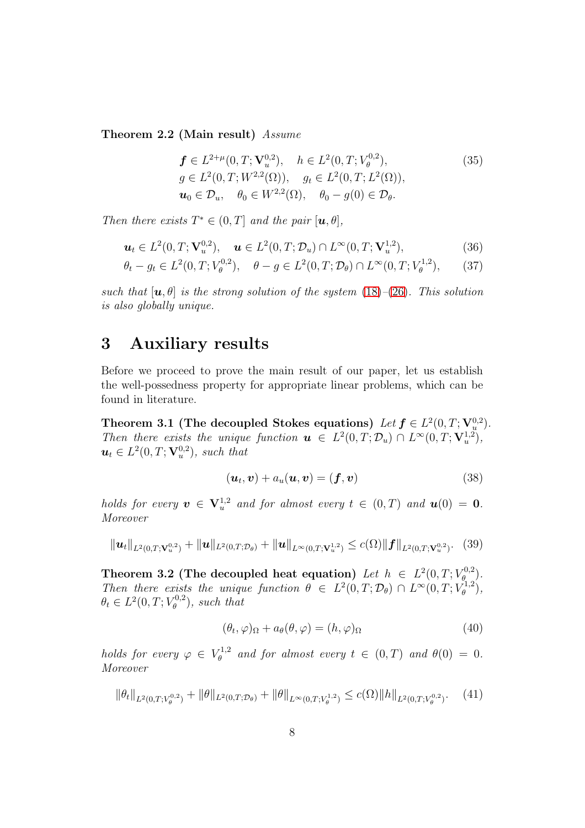Theorem 2.2 (Main result) Assume

$$
\mathbf{f} \in L^{2+\mu}(0, T; \mathbf{V}_u^{0,2}), \quad h \in L^2(0, T; V_\theta^{0,2}), \ng \in L^2(0, T; W^{2,2}(\Omega)), \quad g_t \in L^2(0, T; L^2(\Omega)), \n\mathbf{u}_0 \in \mathcal{D}_u, \quad \theta_0 \in W^{2,2}(\Omega), \quad \theta_0 - g(0) \in \mathcal{D}_\theta.
$$
\n(35)

Then there exists  $T^* \in (0, T]$  and the pair  $[\boldsymbol{u}, \theta]$ ,

$$
\mathbf{u}_t \in L^2(0, T; \mathbf{V}_u^{0,2}), \quad \mathbf{u} \in L^2(0, T; \mathcal{D}_u) \cap L^\infty(0, T; \mathbf{V}_u^{1,2}), \tag{36}
$$

$$
\theta_t - g_t \in L^2(0, T; V_\theta^{0,2}), \quad \theta - g \in L^2(0, T; \mathcal{D}_\theta) \cap L^\infty(0, T; V_\theta^{1,2}), \tag{37}
$$

such that  $[u, \theta]$  is the strong solution of the system [\(18\)](#page-5-0)–[\(26\)](#page-5-1). This solution is also globally unique.

### <span id="page-7-0"></span>3 Auxiliary results

Before we proceed to prove the main result of our paper, let us establish the well-possedness property for appropriate linear problems, which can be found in literature.

Theorem 3.1 (The decoupled Stokes equations)  $Let f \in L^2(0,T; \mathbf{V}_u^{0,2}).$ Then there exists the unique function  $u \in L^2(0,T;\mathcal{D}_u) \cap L^{\infty}(0,T;\mathbf{V}_u^{1,2}),$  $u_t \in L^2(0,T;{\bf V}_u^{0,2}),$  such that

<span id="page-7-2"></span>
$$
(\boldsymbol{u}_t, \boldsymbol{v}) + a_u(\boldsymbol{u}, \boldsymbol{v}) = (\boldsymbol{f}, \boldsymbol{v}) \tag{38}
$$

holds for every  $\mathbf{v} \in \mathbf{V}_u^{1,2}$  and for almost every  $t \in (0,T)$  and  $\mathbf{u}(0) = \mathbf{0}$ . Moreover

<span id="page-7-3"></span>
$$
\|\boldsymbol{u}_t\|_{L^2(0,T;\mathbf{V}_u^{0,2})} + \|\boldsymbol{u}\|_{L^2(0,T;\mathcal{D}_\theta)} + \|\boldsymbol{u}\|_{L^\infty(0,T;\mathbf{V}_u^{1,2})} \leq c(\Omega) \|\boldsymbol{f}\|_{L^2(0,T;\mathbf{V}_u^{0,2})}. \tag{39}
$$

<span id="page-7-1"></span>Theorem 3.2 (The decoupled heat equation) Let  $h \in L^2(0,T;V_\theta^{0,2})$  $\begin{pmatrix} \theta & \theta \\ \theta & \theta \end{pmatrix}$ . Then there exists the unique function  $\theta \in L^2(0,T;\mathcal{D}_\theta) \cap L^\infty(0,T;V_\theta^{1,2})$  $\stackrel{\cdot \, 1,2}{\theta}$ ,  $\theta_t \in L^2(0, T; V_{\theta}^{0,2})$  $\binom{[0,2]}{\theta}$ , such that

$$
(\theta_t, \varphi)_{\Omega} + a_{\theta}(\theta, \varphi) = (h, \varphi)_{\Omega} \tag{40}
$$

holds for every  $\varphi \in V^{1,2}_\theta$  $\theta_{\theta}^{t_1,2}$  and for almost every  $t \in (0,T)$  and  $\theta(0) = 0$ . Moreover

$$
\|\theta_t\|_{L^2(0,T;V^{0,2}_\theta)} + \|\theta\|_{L^2(0,T;\mathcal{D}_\theta)} + \|\theta\|_{L^\infty(0,T;V^{1,2}_\theta)} \le c(\Omega) \|h\|_{L^2(0,T;V^{0,2}_\theta)}.
$$
 (41)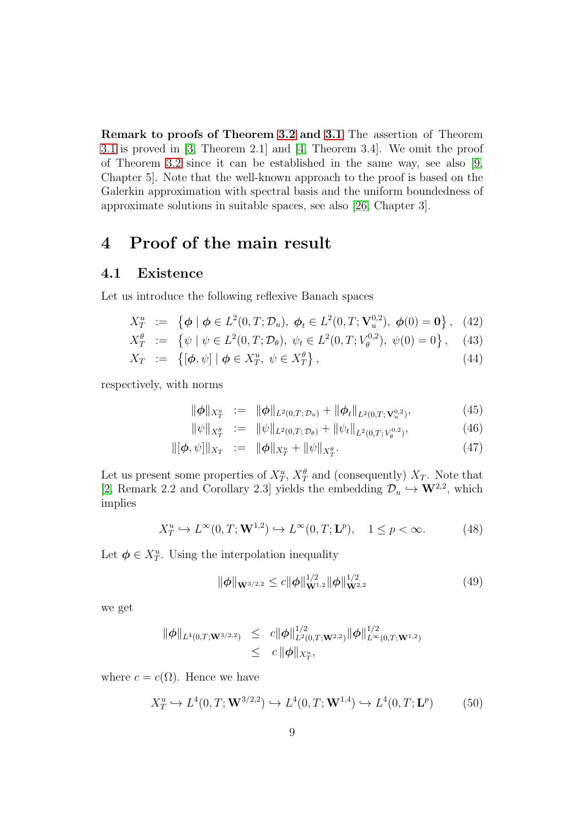Remark to proofs of Theorem [3.2](#page-7-1) and [3.1](#page-7-2) The assertion of Theorem [3.1](#page-7-2) is proved in [\[3,](#page-19-6) Theorem 2.1] and [\[4,](#page-19-7) Theorem 3.4]. We omit the proof of Theorem [3.2](#page-7-1) since it can be established in the same way, see also [\[9,](#page-19-8) Chapter 5]. Note that the well-known approach to the proof is based on the Galerkin approximation with spectral basis and the uniform boundedness of approximate solutions in suitable spaces, see also [\[26,](#page-21-3) Chapter 3].

### <span id="page-8-1"></span><span id="page-8-0"></span>4 Proof of the main result

#### 4.1 Existence

Let us introduce the following reflexive Banach spaces

$$
X_T^u := \{ \phi \mid \phi \in L^2(0, T; \mathcal{D}_u), \phi_t \in L^2(0, T; \mathbf{V}_u^{0,2}), \phi(0) = \mathbf{0} \}, (42)
$$

$$
X_T^{\theta} := \{ \psi \mid \psi \in L^2(0, T; \mathcal{D}_{\theta}), \psi_t \in L^2(0, T; V_{\theta}^{0,2}), \psi(0) = 0 \}, \quad (43)
$$

$$
X_T \quad := \quad \left\{ [\phi, \psi] \mid \phi \in X_T^u, \ \psi \in X_T^\theta \right\},\tag{44}
$$

respectively, with norms

$$
\|\boldsymbol{\phi}\|_{X_T^u} := \|\boldsymbol{\phi}\|_{L^2(0,T;\mathcal{D}_u)} + \|\boldsymbol{\phi}_t\|_{L^2(0,T;\mathbf{V}_u^{0,2})},\tag{45}
$$

$$
\|\psi\|_{X_T^{\theta}} := \|\psi\|_{L^2(0,T;\,\mathcal{D}_{\theta})} + \|\psi_t\|_{L^2(0,T;\,V^{0,2}_{\theta})},\tag{46}
$$

$$
\|[\phi,\psi]\|_{X_T} \ := \ \|\phi\|_{X_T^u} + \|\psi\|_{X_T^{\theta}}.\tag{47}
$$

Let us present some properties of  $X_T^u$ ,  $X_T^\theta$  and (consequently)  $X_T$ . Note that [\[2,](#page-19-4) Remark 2.2 and Corollary 2.3] yields the embedding  $\mathcal{D}_u \hookrightarrow \mathbf{W}^{2,2}$ , which implies

$$
X_T^u \hookrightarrow L^\infty(0, T; \mathbf{W}^{1,2}) \hookrightarrow L^\infty(0, T; \mathbf{L}^p), \quad 1 \le p < \infty.
$$
 (48)

Let  $\phi \in X_T^u$ . Using the interpolation inequality

$$
\|\phi\|_{\mathbf{W}^{3/2,2}} \le c \|\phi\|_{\mathbf{W}^{1,2}}^{1/2} \|\phi\|_{\mathbf{W}^{2,2}}^{1/2}
$$
\n(49)

we get

$$
\|\phi\|_{L^4(0,T;{\bf W}^{3/2,2})} \leq c \|\phi\|_{L^2(0,T;{\bf W}^{2,2})}^{1/2} \|\phi\|_{L^\infty(0,T;{\bf W}^{1,2})}^{1/2}
$$
  

$$
\leq c \|\phi\|_{X_T^u},
$$

where  $c = c(\Omega)$ . Hence we have

<span id="page-8-2"></span>
$$
X_T^u \hookrightarrow L^4(0, T; \mathbf{W}^{3/2,2}) \hookrightarrow L^4(0, T; \mathbf{W}^{1,4}) \hookrightarrow L^4(0, T; \mathbf{L}^p) \tag{50}
$$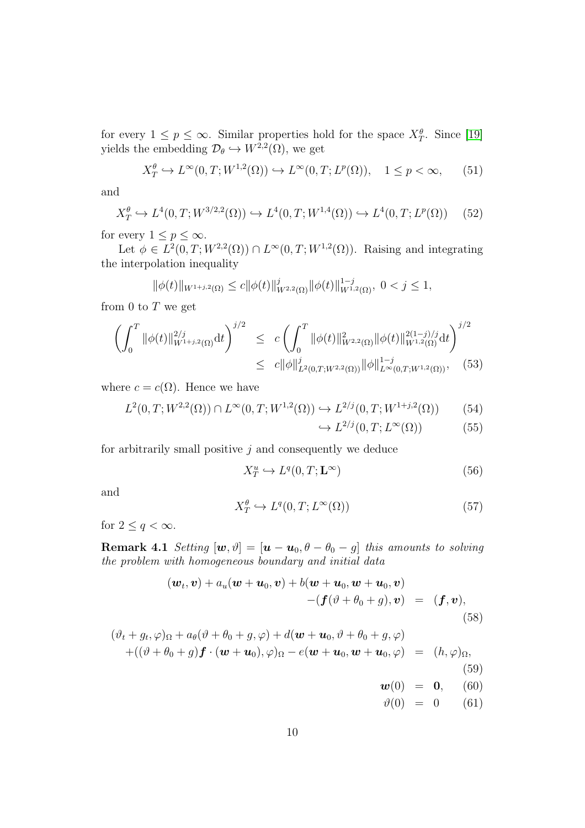for every  $1 \le p \le \infty$ . Similar properties hold for the space  $X_T^{\theta}$ . Since [\[19\]](#page-20-2) yields the embedding  $\mathcal{D}_{\theta} \hookrightarrow W^{2,2}(\Omega)$ , we get

$$
X_T^{\theta} \hookrightarrow L^{\infty}(0, T; W^{1,2}(\Omega)) \hookrightarrow L^{\infty}(0, T; L^p(\Omega)), \quad 1 \le p < \infty,
$$
 (51)

and

<span id="page-9-0"></span>
$$
X_T^{\theta} \hookrightarrow L^4(0, T; W^{3/2,2}(\Omega)) \hookrightarrow L^4(0, T; W^{1,4}(\Omega)) \hookrightarrow L^4(0, T; L^p(\Omega)) \tag{52}
$$

for every  $1 \leq p \leq \infty$ .

Let  $\phi \in L^2(0,T;W^{2,2}(\Omega)) \cap L^{\infty}(0,T;W^{1,2}(\Omega))$ . Raising and integrating the interpolation inequality

$$
\|\phi(t)\|_{W^{1+j,2}(\Omega)} \le c \|\phi(t)\|_{W^{2,2}(\Omega)}^j \|\phi(t)\|_{W^{1,2}(\Omega)}^{1-j}, \ 0 < j \le 1,
$$

from 0 to  $T$  we get

$$
\left(\int_0^T \|\phi(t)\|_{W^{1+j,2}(\Omega)}^{2/j} \mathrm{d}t\right)^{j/2} \leq c \left(\int_0^T \|\phi(t)\|_{W^{2,2}(\Omega)}^2 \|\phi(t)\|_{W^{1,2}(\Omega)}^{2(1-j)/j} \mathrm{d}t\right)^{j/2} \leq c \|\phi\|_{L^2(0,T;W^{2,2}(\Omega))}^j \|\phi\|_{L^\infty(0,T;W^{1,2}(\Omega))}^{1-j}, \quad (53)
$$

where  $c = c(\Omega)$ . Hence we have

$$
L^{2}(0,T;W^{2,2}(\Omega)) \cap L^{\infty}(0,T;W^{1,2}(\Omega)) \hookrightarrow L^{2/j}(0,T;W^{1+j,2}(\Omega))
$$
 (54)

$$
\hookrightarrow L^{2/j}(0,T;L^{\infty}(\Omega))\tag{55}
$$

for arbitrarily small positive  $i$  and consequently we deduce

$$
X_T^u \hookrightarrow L^q(0, T; \mathbf{L}^\infty) \tag{56}
$$

and

$$
X_T^{\theta} \hookrightarrow L^q(0, T; L^{\infty}(\Omega))
$$
\n
$$
(57)
$$

<span id="page-9-1"></span>for  $2 \le q < \infty$ .

**Remark 4.1** Setting  $[\boldsymbol{w}, \vartheta] = [\boldsymbol{u} - \boldsymbol{u}_0, \theta - \theta_0 - \theta]$  this amounts to solving the problem with homogeneous boundary and initial data

$$
(\boldsymbol{w}_t, \boldsymbol{v}) + a_u(\boldsymbol{w} + \boldsymbol{u}_0, \boldsymbol{v}) + b(\boldsymbol{w} + \boldsymbol{u}_0, \boldsymbol{w} + \boldsymbol{u}_0, \boldsymbol{v})
$$
  
\n
$$
-(\boldsymbol{f}(\vartheta + \theta_0 + g), \boldsymbol{v}) = (\boldsymbol{f}, \boldsymbol{v}),
$$
  
\n
$$
(\vartheta_t + g_t, \varphi)_{\Omega} + a_{\theta}(\vartheta + \theta_0 + g, \varphi) + d(\boldsymbol{w} + \boldsymbol{u}_0, \vartheta + \theta_0 + g, \varphi)
$$
  
\n
$$
+ ((\vartheta + \theta_0 + g)\boldsymbol{f} \cdot (\boldsymbol{w} + \boldsymbol{u}_0), \varphi)_{\Omega} - e(\boldsymbol{w} + \boldsymbol{u}_0, \boldsymbol{w} + \boldsymbol{u}_0, \varphi) = (h, \varphi)_{\Omega},
$$
  
\n
$$
\boldsymbol{w}(0) = \boldsymbol{0}, \qquad (60)
$$
  
\n
$$
\vartheta(0) = 0 \qquad (61)
$$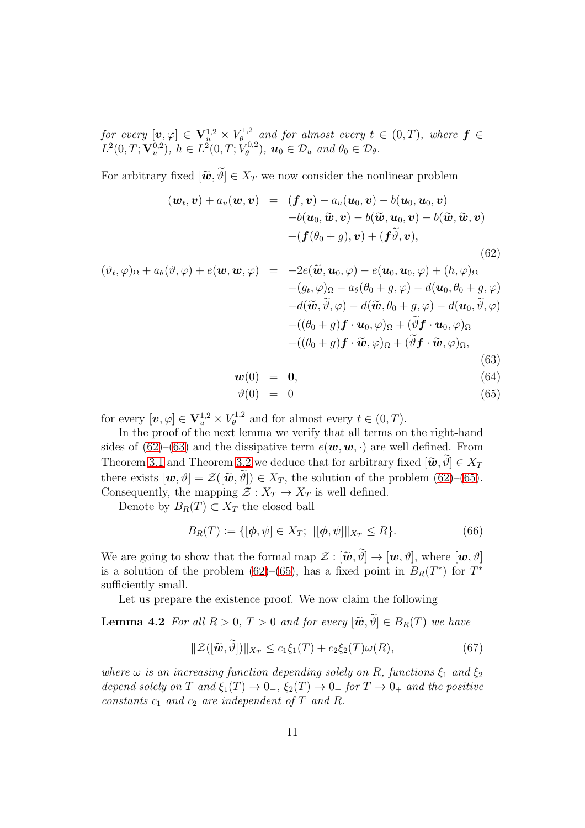for every  $[\boldsymbol{v}, \varphi] \in \mathbf{V}^{1,2}_u \times V^{1,2}_\theta$  $\theta_{\theta}^{t,2}$  and for almost every  $t \in (0,T)$ , where  $f \in$  $L^2(0,T;{\bf V}_u^{0,2}),\;h\in L^2(0,T;\check{V}_{\theta}^{0,2})$  $\left( \begin{matrix} \n u_0 \\ \n \theta \n \end{matrix} \right)$ ,  $\mathbf{u}_0 \in \mathcal{D}_u$  and  $\theta_0 \in \mathcal{D}_\theta$ .

For arbitrary fixed  $[\tilde{\boldsymbol{w}}, \tilde{\vartheta}] \in X_T$  we now consider the nonlinear problem

<span id="page-10-0"></span>
$$
(\boldsymbol{w}_t, \boldsymbol{v}) + a_u(\boldsymbol{w}, \boldsymbol{v}) = (\boldsymbol{f}, \boldsymbol{v}) - a_u(\boldsymbol{u}_0, \boldsymbol{v}) - b(\boldsymbol{u}_0, \boldsymbol{u}_0, \boldsymbol{v}) -b(\boldsymbol{u}_0, \widetilde{\boldsymbol{w}}, \boldsymbol{v}) - b(\widetilde{\boldsymbol{w}}, \boldsymbol{u}_0, \boldsymbol{v}) - b(\widetilde{\boldsymbol{w}}, \widetilde{\boldsymbol{w}}, \boldsymbol{v}) + (\boldsymbol{f}(\theta_0 + g), \boldsymbol{v}) + (\boldsymbol{f}\widetilde{\vartheta}, \boldsymbol{v}),
$$
\n(62)

$$
(\vartheta_t, \varphi)_{\Omega} + a_{\theta}(\vartheta, \varphi) + e(\boldsymbol{w}, \boldsymbol{w}, \varphi) = -2e(\widetilde{\boldsymbol{w}}, \boldsymbol{u}_0, \varphi) - e(\boldsymbol{u}_0, \boldsymbol{u}_0, \varphi) + (h, \varphi)_{\Omega} - (g_t, \varphi)_{\Omega} - a_{\theta}(\theta_0 + g, \varphi) - d(\boldsymbol{u}_0, \theta_0 + g, \varphi) -d(\widetilde{\boldsymbol{w}}, \widetilde{\vartheta}, \varphi) - d(\widetilde{\boldsymbol{w}}, \theta_0 + g, \varphi) - d(\boldsymbol{u}_0, \widetilde{\vartheta}, \varphi) + ((\theta_0 + g)\boldsymbol{f} \cdot \boldsymbol{u}_0, \varphi)_{\Omega} + (\widetilde{\vartheta}\boldsymbol{f} \cdot \widetilde{\boldsymbol{u}}_0, \varphi)_{\Omega} + ((\theta_0 + g)\boldsymbol{f} \cdot \widetilde{\boldsymbol{w}}, \varphi)_{\Omega} + (\widetilde{\vartheta}\boldsymbol{f} \cdot \widetilde{\boldsymbol{w}}, \varphi)_{\Omega},
$$
\n(63)

$$
\mathbf{w}(0) = \mathbf{0}, \tag{64}
$$

$$
\vartheta(0) = 0 \tag{65}
$$

for every  $[\boldsymbol{v}, \varphi]\in \mathbf{V}^{1,2}_u\times V^{1,2}_\theta$  $\theta_{\theta}^{t_1, t_2}$  and for almost every  $t \in (0, T)$ .

In the proof of the next lemma we verify that all terms on the right-hand sides of  $(62)$ – $(63)$  and the dissipative term  $e(\mathbf{w}, \mathbf{w}, \cdot)$  are well defined. From Theorem [3.1](#page-7-2) and Theorem [3.2](#page-7-1) we deduce that for arbitrary fixed  $[\tilde{\mathbf{w}}, \vartheta] \in X_T$ there exists  $[\mathbf{w}, \vartheta] = \mathcal{Z}([\widetilde{\mathbf{w}}, \widetilde{\vartheta}]) \in X_T$ , the solution of the problem [\(62\)](#page-10-0)–[\(65\)](#page-10-0). Consequently, the mapping  $\mathcal{Z}: X_T \to X_T$  is well defined.

Denote by  $B_R(T) \subset X_T$  the closed ball

$$
B_R(T) := \{ [\phi, \psi] \in X_T; ||[\phi, \psi]||_{X_T} \le R \}.
$$
 (66)

We are going to show that the formal map  $\mathcal{Z} : [\tilde{\boldsymbol{w}}, \tilde{\vartheta}] \to [\boldsymbol{w}, \vartheta]$ , where  $[\boldsymbol{w}, \vartheta]$ is a solution of the problem [\(62\)](#page-10-0)–[\(65\)](#page-10-0), has a fixed point in  $B_R(T^*)$  for  $T^*$ sufficiently small.

Let us prepare the existence proof. We now claim the following

**Lemma 4.2** For all  $R > 0$ ,  $T > 0$  and for every  $[\tilde{\boldsymbol{w}}, \tilde{\vartheta}] \in B_R(T)$  we have

<span id="page-10-2"></span><span id="page-10-1"></span>
$$
\|\mathcal{Z}([\widetilde{\boldsymbol{w}},\vartheta])\|_{X_T} \le c_1 \xi_1(T) + c_2 \xi_2(T)\omega(R),\tag{67}
$$

where  $\omega$  is an increasing function depending solely on R, functions  $\xi_1$  and  $\xi_2$ depend solely on T and  $\xi_1(T) \to 0_+$ ,  $\xi_2(T) \to 0_+$  for  $T \to 0_+$  and the positive constants  $c_1$  and  $c_2$  are independent of T and R.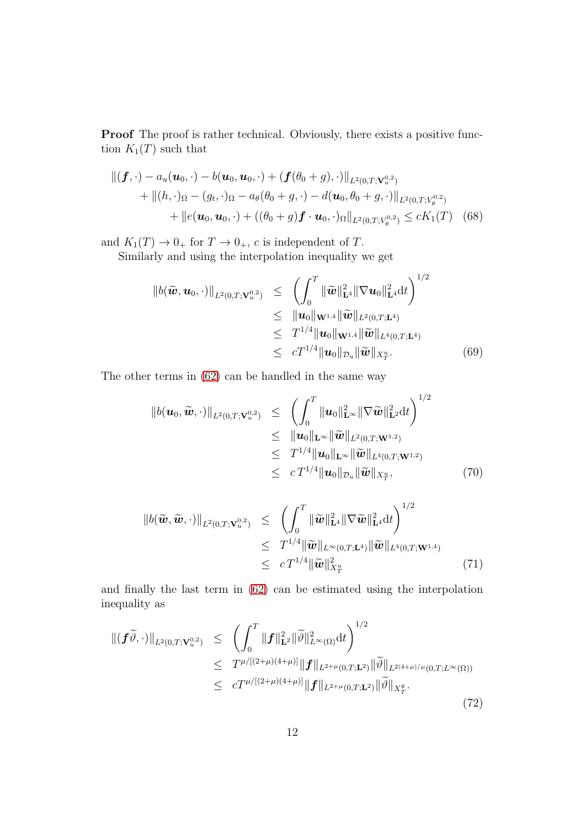Proof The proof is rather technical. Obviously, there exists a positive function  $K_1(T)$  such that

$$
\begin{aligned} ||(\bm{f}, \cdot) - a_u(\bm{u}_0, \cdot) - b(\bm{u}_0, \bm{u}_0, \cdot) + (\bm{f}(\theta_0 + g), \cdot) ||_{L^2(0,T; \mathbf{V}_u^{0,2})} \\ &+ ||(h, \cdot)_{\Omega} - (g_t, \cdot)_{\Omega} - a_\theta(\theta_0 + g, \cdot) - d(\bm{u}_0, \theta_0 + g, \cdot) ||_{L^2(0,T; V_\theta^{0,2})} \\ &+ ||e(\bm{u}_0, \bm{u}_0, \cdot) + ((\theta_0 + g) \bm{f} \cdot \bm{u}_0, \cdot)_{\Omega} ||_{L^2(0,T; V_\theta^{0,2})} \le c K_1(T) \end{aligned} \tag{68}
$$

and  $K_1(T) \to 0_+$  for  $T \to 0_+$ , c is independent of T.

Similarly and using the interpolation inequality we get

<span id="page-11-0"></span>
$$
\begin{array}{rcl}\n\|b(\widetilde{\boldsymbol{w}}, \boldsymbol{u}_0, \cdot)\|_{L^2(0,T; \mathbf{V}_u^{0,2})} \leq & \left(\int_0^T \|\widetilde{\boldsymbol{w}}\|_{\mathbf{L}^4}^2 \|\nabla \boldsymbol{u}_0\|_{\mathbf{L}^4}^2 \mathrm{d}t\right)^{1/2} \\
&\leq & \|\boldsymbol{u}_0\|_{\mathbf{W}^{1,4}} \|\widetilde{\boldsymbol{w}}\|_{L^2(0,T; \mathbf{L}^4)} \\
&\leq & T^{1/4} \|\boldsymbol{u}_0\|_{\mathbf{W}^{1,4}} \|\widetilde{\boldsymbol{w}}\|_{L^4(0,T; \mathbf{L}^4)} \\
&\leq & c T^{1/4} \|\boldsymbol{u}_0\|_{\mathcal{D}_u} \|\widetilde{\boldsymbol{w}}\|_{X_T^u}.\n\end{array} \tag{69}
$$

The other terms in [\(62\)](#page-10-0) can be handled in the same way

$$
\|b(\boldsymbol{u}_0, \widetilde{\boldsymbol{w}}, \cdot)\|_{L^2(0,T; \mathbf{V}_u^{0,2})} \leq \left(\int_0^T \|\boldsymbol{u}_0\|_{\mathbf{L}^{\infty}}^2 \|\nabla \widetilde{\boldsymbol{w}}\|_{\mathbf{L}^2}^2 dt\right)^{1/2} \leq \|\boldsymbol{u}_0\|_{\mathbf{L}^{\infty}} \|\widetilde{\boldsymbol{w}}\|_{L^2(0,T; \mathbf{W}^{1,2})} \leq T^{1/4} \|\boldsymbol{u}_0\|_{\mathbf{L}^{\infty}} \|\widetilde{\boldsymbol{w}}\|_{L^4(0,T; \mathbf{W}^{1,2})} \leq c T^{1/4} \|\boldsymbol{u}_0\|_{\mathcal{D}_u} \|\widetilde{\boldsymbol{w}}\|_{X_T^u}, \tag{70}
$$

$$
\|b(\widetilde{\boldsymbol{w}},\widetilde{\boldsymbol{w}},\cdot)\|_{L^{2}(0,T;\mathbf{V}_{u}^{0,2})} \leq \left(\int_{0}^{T} \|\widetilde{\boldsymbol{w}}\|_{\mathbf{L}^{4}}^{2} \|\nabla \widetilde{\boldsymbol{w}}\|_{\mathbf{L}^{4}}^{2}dt\right)^{1/2} \leq T^{1/4} \|\widetilde{\boldsymbol{w}}\|_{L^{\infty}(0,T;\mathbf{L}^{4})} \|\widetilde{\boldsymbol{w}}\|_{L^{4}(0,T;\mathbf{W}^{1,4})} \leq c T^{1/4} \|\widetilde{\boldsymbol{w}}\|_{X_{T}^{u}}^{2} \qquad (71)
$$

and finally the last term in [\(62\)](#page-10-0) can be estimated using the interpolation inequality as

<span id="page-11-1"></span>
$$
\|(\bm{f}\widetilde{\vartheta},\cdot)\|_{L^{2}(0,T;\mathbf{V}_{u}^{0,2})} \leq \left(\int_{0}^{T} \|\bm{f}\|_{\mathbf{L}^{2}}^{2} \|\widetilde{\vartheta}\|_{L^{\infty}(\Omega)}^{2} dt\right)^{1/2} \leq T^{\mu/[(2+\mu)(4+\mu)]} \|\bm{f}\|_{L^{2+\mu}(0,T;\mathbf{L}^{2})} \|\widetilde{\vartheta}\|_{L^{2(4+\mu)/\mu}(0,T;L^{\infty}(\Omega))} \leq cT^{\mu/[(2+\mu)(4+\mu)]} \|\bm{f}\|_{L^{2+\mu}(0,T;\mathbf{L}^{2})} \|\widetilde{\vartheta}\|_{X_{T}^{\theta}}.
$$
\n(72)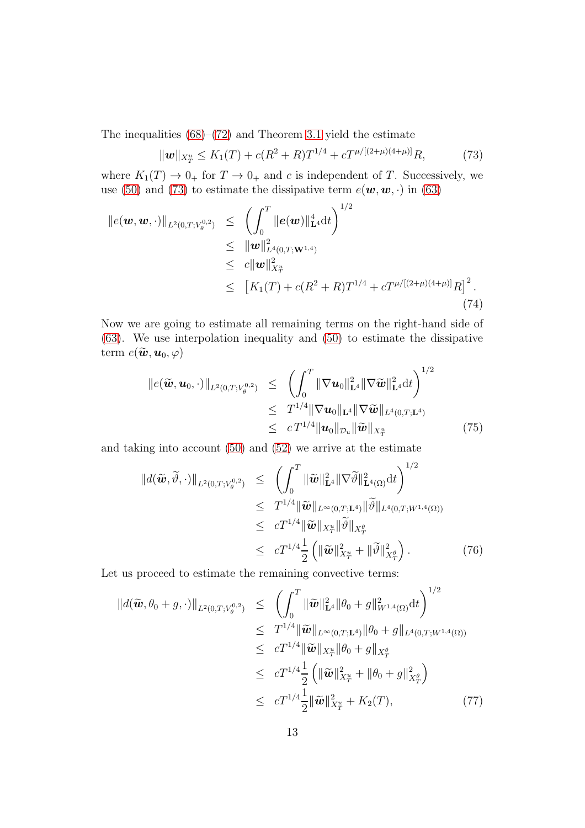The inequalities  $(68)$ – $(72)$  and Theorem [3.1](#page-7-2) yield the estimate

<span id="page-12-0"></span>
$$
\|\mathbf{w}\|_{X_T^u} \le K_1(T) + c(R^2 + R)T^{1/4} + cT^{\mu/[(2+\mu)(4+\mu)]}R,\tag{73}
$$

where  $K_1(T) \to 0_+$  for  $T \to 0_+$  and c is independent of T. Successively, we use [\(50\)](#page-8-2) and [\(73\)](#page-12-0) to estimate the dissipative term  $e(w, w, \cdot)$  in [\(63\)](#page-10-0)

$$
\|e(\boldsymbol{w}, \boldsymbol{w}, \cdot)\|_{L^{2}(0,T; V_{\theta}^{0,2})} \leq \left(\int_{0}^{T} \|\boldsymbol{e}(\boldsymbol{w})\|_{\mathbf{L}^{4}}^{4} dt\right)^{1/2} \n\leq \|\boldsymbol{w}\|_{L^{4}(0,T; \mathbf{W}^{1,4})}^{2} \n\leq c \|\boldsymbol{w}\|_{X_{T}^{u}}^{2} \n\leq [K_{1}(T) + c(R^{2} + R)T^{1/4} + cT^{\mu/[(2+\mu)(4+\mu)]}R]^{2}.
$$
\n(74)

Now we are going to estimate all remaining terms on the right-hand side of [\(63\)](#page-10-0). We use interpolation inequality and [\(50\)](#page-8-2) to estimate the dissipative term  $e(\widetilde{\boldsymbol{w}}, \boldsymbol{u}_0, \varphi)$ 

$$
\|e(\widetilde{\boldsymbol{w}}, \boldsymbol{u}_0, \cdot)\|_{L^2(0,T;V_{\theta}^{0,2})} \leq \left(\int_0^T \|\nabla \boldsymbol{u}_0\|_{\mathbf{L}^4}^2 \|\nabla \widetilde{\boldsymbol{w}}\|_{\mathbf{L}^4}^2 dt\right)^{1/2} \leq T^{1/4} \|\nabla \boldsymbol{u}_0\|_{\mathbf{L}^4} \|\nabla \widetilde{\boldsymbol{w}}\|_{L^4(0,T;\mathbf{L}^4)} \leq c T^{1/4} \|\boldsymbol{u}_0\|_{\mathcal{D}_u} \|\widetilde{\boldsymbol{w}}\|_{X_T^u}
$$
(75)

and taking into account [\(50\)](#page-8-2) and [\(52\)](#page-9-0) we arrive at the estimate

$$
\|d(\widetilde{\boldsymbol{w}}, \widetilde{\vartheta}, \cdot)\|_{L^{2}(0,T; V_{\theta}^{0,2})} \leq \left(\int_{0}^{T} \|\widetilde{\boldsymbol{w}}\|_{\mathbf{L}^{4}}^{2} \|\nabla \widetilde{\vartheta}\|_{\mathbf{L}^{4}(\Omega)}^{2} dt\right)^{1/2} \leq T^{1/4} \|\widetilde{\boldsymbol{w}}\|_{L^{\infty}(0,T; \mathbf{L}^{4})} \|\widetilde{\vartheta}\|_{L^{4}(0,T; W^{1,4}(\Omega))} \leq cT^{1/4} \|\widetilde{\boldsymbol{w}}\|_{X_{T}^{u}} \|\widetilde{\vartheta}\|_{X_{T}^{\theta}} \leq cT^{1/4} \frac{1}{2} \left(\|\widetilde{\boldsymbol{w}}\|_{X_{T}^{u}}^{2} + \|\widetilde{\vartheta}\|_{X_{T}^{\theta}}^{2}\right).
$$
 (76)

Let us proceed to estimate the remaining convective terms:

$$
\|d(\widetilde{\mathbf{w}}, \theta_0 + g, \cdot)\|_{L^2(0,T;V_{\theta}^{0,2})} \leq \left(\int_0^T \|\widetilde{\mathbf{w}}\|_{\mathbf{L}^4}^2 \|\theta_0 + g\|_{W^{1,4}(\Omega)}^2 dt\right)^{1/2} \n\leq T^{1/4} \|\widetilde{\mathbf{w}}\|_{L^{\infty}(0,T;{\mathbf{L}}^4)} \|\theta_0 + g\|_{L^4(0,T;W^{1,4}(\Omega))} \n\leq cT^{1/4} \|\widetilde{\mathbf{w}}\|_{X_T^u} \|\theta_0 + g\|_{X_T^{\theta}} \n\leq cT^{1/4} \frac{1}{2} \left(\|\widetilde{\mathbf{w}}\|_{X_T^u}^2 + \|\theta_0 + g\|_{X_T^{\theta}}^2\right) \n\leq cT^{1/4} \frac{1}{2} \|\widetilde{\mathbf{w}}\|_{X_T^u}^2 + K_2(T),
$$
\n(77)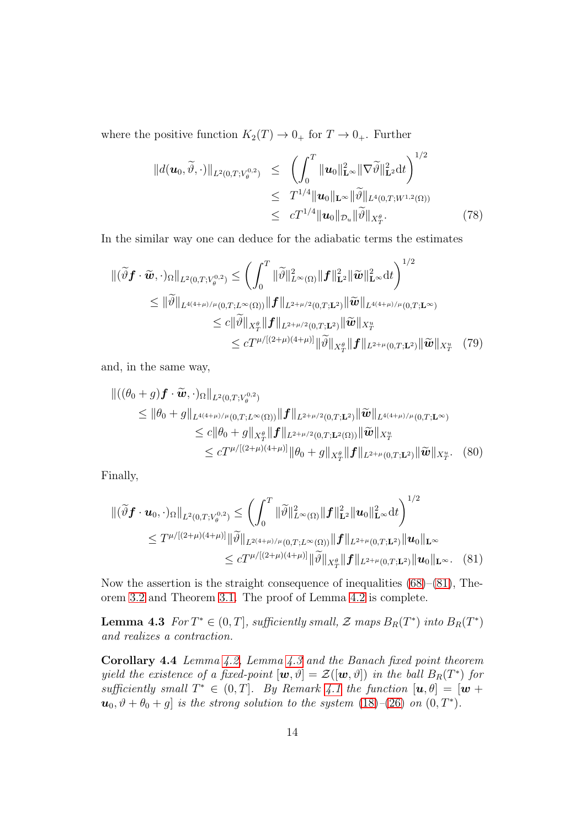where the positive function  $K_2(T) \to 0_+$  for  $T \to 0_+$ . Further

<span id="page-13-2"></span>
$$
\|d(\boldsymbol{u}_0, \widetilde{\vartheta}, \cdot)\|_{L^2(0,T;V_{\theta}^{0,2})} \leq \left(\int_0^T \|\boldsymbol{u}_0\|_{\mathbf{L}^{\infty}}^2 \|\nabla \widetilde{\vartheta}\|_{\mathbf{L}^2}^2 dt\right)^{1/2} \leq T^{1/4} \|\boldsymbol{u}_0\|_{\mathbf{L}^{\infty}} \|\widetilde{\vartheta}\|_{L^4(0,T;W^{1,2}(\Omega))} \leq cT^{1/4} \|\boldsymbol{u}_0\|_{\mathcal{D}_u} \|\widetilde{\vartheta}\|_{X_T^{\theta}}.
$$
\n(78)

In the similar way one can deduce for the adiabatic terms the estimates

$$
\begin{split} \left\|(\widetilde{\vartheta}\boldsymbol{f}\cdot\widetilde{\boldsymbol{w}},\cdot)_{\Omega}\right\|_{L^{2}(0,T;V_{\theta}^{0,2})} &\leq \left(\int_{0}^{T}\|\widetilde{\vartheta}\|_{L^{\infty}(\Omega)}^{2}\|\boldsymbol{f}\|_{\mathbf{L}^{2}}^{2}\|\widetilde{\boldsymbol{w}}\|_{\mathbf{L}^{\infty}}^{2}\mathrm{d}t\right)^{1/2} \\ &\leq \|\widetilde{\vartheta}\|_{L^{4(4+\mu)/\mu}(0,T;L^{\infty}(\Omega))}\|\boldsymbol{f}\|_{L^{2+\mu/2}(0,T;\mathbf{L}^{2})}\|\widetilde{\boldsymbol{w}}\|_{L^{4(4+\mu)/\mu}(0,T;\mathbf{L}^{\infty})} \\ &\leq c\|\widetilde{\vartheta}\|_{X_{T}^{\theta}}\|\boldsymbol{f}\|_{L^{2+\mu/2}(0,T;\mathbf{L}^{2})}\|\widetilde{\boldsymbol{w}}\|_{X_{T}^{\mu}} \\ &\leq cT^{\mu/[(2+\mu)(4+\mu)]}\|\widetilde{\vartheta}\|_{X_{T}^{\theta}}\|\boldsymbol{f}\|_{L^{2+\mu}(0,T;\mathbf{L}^{2})}\|\widetilde{\boldsymbol{w}}\|_{X_{T}^{\mu}}\end{split} \tag{79}
$$

and, in the same way,

$$
\|((\theta_0 + g) \mathbf{f} \cdot \widetilde{\mathbf{w}}, \cdot)_{\Omega}\|_{L^2(0,T;V_{\theta}^{0,2})} \leq \|\theta_0 + g\|_{L^{4(4+\mu)/\mu}(0,T;L^{\infty}(\Omega))} \|\mathbf{f}\|_{L^{2+\mu/2}(0,T;\mathbf{L}^2)} \|\widetilde{\mathbf{w}}\|_{L^{4(4+\mu)/\mu}(0,T;\mathbf{L}^{\infty})} \leq c \|\theta_0 + g\|_{X_T^{\theta}} \|\mathbf{f}\|_{L^{2+\mu/2}(0,T;\mathbf{L}^2(\Omega))} \|\widetilde{\mathbf{w}}\|_{X_T^u} \leq cT^{\mu/[(2+\mu)(4+\mu)]} \|\theta_0 + g\|_{X_T^{\theta}} \|\mathbf{f}\|_{L^{2+\mu}(0,T;\mathbf{L}^2)} \|\widetilde{\mathbf{w}}\|_{X_T^u}.
$$
 (80)

Finally,

<span id="page-13-0"></span>
$$
\|(\widetilde{\vartheta} \mathbf{f} \cdot \mathbf{u}_{0}, \cdot)_{\Omega}\|_{L^{2}(0,T;V_{\theta}^{0,2})} \leq \left(\int_{0}^{T} \|\widetilde{\vartheta}\|_{L^{\infty}(\Omega)}^{2} \|\mathbf{f}\|_{\mathbf{L}^{2}}^{2} \|\mathbf{u}_{0}\|_{\mathbf{L}^{\infty}}^{2} dt\right)^{1/2} \leq T^{\mu/[(2+\mu)(4+\mu)]} \|\widetilde{\vartheta}\|_{L^{2(4+\mu)/\mu}(0,T;L^{\infty}(\Omega))} \|\mathbf{f}\|_{L^{2+\mu}(0,T;\mathbf{L}^{2})} \|\mathbf{u}_{0}\|_{\mathbf{L}^{\infty}} \leq cT^{\mu/[(2+\mu)(4+\mu)]} \|\widetilde{\vartheta}\|_{X_{T}^{\theta}} \|\mathbf{f}\|_{L^{2+\mu}(0,T;\mathbf{L}^{2})} \|\mathbf{u}_{0}\|_{\mathbf{L}^{\infty}}.
$$
 (81)

Now the assertion is the straight consequence of inequalities  $(68)$ – $(81)$ , Theorem [3.2](#page-7-1) and Theorem [3.1.](#page-7-2) The proof of Lemma [4.2](#page-10-1) is complete.

<span id="page-13-1"></span>**Lemma 4.3** For  $T^* \in (0,T]$ , sufficiently small,  $\mathcal Z$  maps  $B_R(T^*)$  into  $B_R(T^*)$ and realizes a contraction.

Corollary 4.4 Lemma [4.2,](#page-10-1) Lemma [4.3](#page-13-1) and the Banach fixed point theorem yield the existence of a fixed-point  $[\boldsymbol{w}, \vartheta] = \mathcal{Z}([\boldsymbol{w}, \vartheta])$  in the ball  $B_R(T^*)$  for sufficiently small  $T^* \in (0,T]$ . By Remark [4.1](#page-9-1) the function  $[\boldsymbol{u}, \theta] = [\boldsymbol{w} + \theta]$  $u_0, \vartheta + \theta_0 + g$  is the strong solution to the system [\(18\)](#page-5-0)–[\(26\)](#page-5-1) on  $(0, T^*)$ .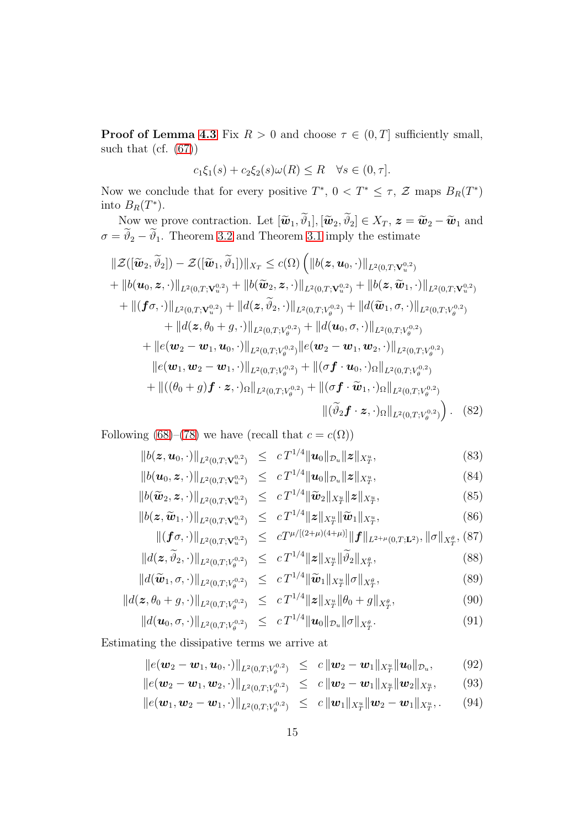**Proof of Lemma [4.3](#page-13-1)** Fix  $R > 0$  and choose  $\tau \in (0, T]$  sufficiently small, such that (cf.  $(67)$ )

$$
c_1\xi_1(s) + c_2\xi_2(s)\omega(R) \le R \quad \forall s \in (0, \tau].
$$

Now we conclude that for every positive  $T^*$ ,  $0 < T^* \leq \tau$ ,  $\mathcal{Z}$  maps  $B_R(T^*)$ into  $B_R(T^*)$ .

Now we prove contraction. Let  $[\widetilde{\boldsymbol{w}}_1, \widetilde{\vartheta}_1], [\widetilde{\boldsymbol{w}}_2, \widetilde{\vartheta}_2] \in X_T$ ,  $\boldsymbol{z} = \widetilde{\boldsymbol{w}}_2 - \widetilde{\boldsymbol{w}}_1$  and  $\sigma = \widetilde{\vartheta}_2 - \widetilde{\vartheta}_1$ . Theorem [3.2](#page-7-1) and Theorem [3.1](#page-7-2) imply the estimate

$$
\begin{split}\n\|\mathcal{Z}([\widetilde{\boldsymbol{w}}_{2},\widetilde{\vartheta}_{2}]) - \mathcal{Z}([\widetilde{\boldsymbol{w}}_{1},\widetilde{\vartheta}_{1}])\|_{X_{T}} &\leq c(\Omega) \left( \|b(\boldsymbol{z},\boldsymbol{u}_{0},\cdot)\|_{L^{2}(0,T; \mathbf{V}_{u}^{0,2})} \\
&+ \|b(\boldsymbol{u}_{0},\boldsymbol{z},\cdot)\|_{L^{2}(0,T; \mathbf{V}_{u}^{0,2})} + \|b(\widetilde{\boldsymbol{w}}_{2},\boldsymbol{z},\cdot)\|_{L^{2}(0,T; \mathbf{V}_{u}^{0,2})} + \|b(\boldsymbol{z},\widetilde{\boldsymbol{w}}_{1},\cdot)\|_{L^{2}(0,T; \mathbf{V}_{u}^{0,2})} \\
&+ \|(\boldsymbol{f}\sigma,\cdot)\|_{L^{2}(0,T; \mathbf{V}_{u}^{0,2})} + \|d(\boldsymbol{z},\widetilde{\vartheta}_{2},\cdot)\|_{L^{2}(0,T; \mathbf{V}_{\theta}^{0,2})} + \|d(\widetilde{\boldsymbol{w}}_{1},\sigma,\cdot)\|_{L^{2}(0,T; \mathbf{V}_{\theta}^{0,2})} \\
&+ \|d(\boldsymbol{z},\theta_{0}+\boldsymbol{g},\cdot)\|_{L^{2}(0,T; \mathbf{V}_{\theta}^{0,2})} + \|d(\boldsymbol{u}_{0},\sigma,\cdot)\|_{L^{2}(0,T; \mathbf{V}_{\theta}^{0,2})} \\
&+ \|e(\boldsymbol{w}_{2}-\boldsymbol{w}_{1},\boldsymbol{u}_{0},\cdot)\|_{L^{2}(0,T; \mathbf{V}_{\theta}^{0,2})} \|e(\boldsymbol{w}_{2}-\boldsymbol{w}_{1},\boldsymbol{w}_{2},\cdot)\|_{L^{2}(0,T; \mathbf{V}_{\theta}^{0,2})} \\
&\quad \|e(\boldsymbol{w}_{1},\boldsymbol{w}_{2}-\boldsymbol{w}_{1},\cdot)\|_{L^{2}(0,T; \mathbf{V}_{\theta}^{0,2})} + \|(\sigma \boldsymbol{f} \cdot \boldsymbol{u}_{0},\cdot)_{\Omega}\|_{L^{2}(0,T; \mathbf{V}_{\theta}^{0,2})} \\
&\quad + \|((\theta_{0}+\boldsymbol{g})\boldsymbol{f} \cdot \boldsymbol{z},\cdot)_{\Omega}\|_{L^{2}(0,T; \mathbf{
$$

Following [\(68\)](#page-11-0)–[\(78\)](#page-13-2) we have (recall that  $c = c(\Omega)$ )

<span id="page-14-2"></span><span id="page-14-1"></span>
$$
||b(\mathbf{z}, \mathbf{u}_0, \cdot)||_{L^2(0,T; \mathbf{V}_u^{0,2})} \leq c T^{1/4} ||\mathbf{u}_0||_{\mathcal{D}_u} ||\mathbf{z}||_{X_T^u},
$$
\n(83)

$$
||b(\boldsymbol{u}_0, \boldsymbol{z}, \cdot)||_{L^2(0,T; \mathbf{V}_u^{0,2})} \leq c T^{1/4} ||\boldsymbol{u}_0||_{\mathcal{D}_u} ||\boldsymbol{z}||_{X_T^u},
$$
\n(84)

$$
||b(\widetilde{\boldsymbol{w}}_2,\boldsymbol{z},\cdot)||_{L^2(0,T;\mathbf{V}_u^{0,2})} \leq cT^{1/4} \|\widetilde{\boldsymbol{w}}_2\|_{X_T^u} \|\boldsymbol{z}\|_{X_T^u},\tag{85}
$$

$$
||b(\boldsymbol{z}, \widetilde{\boldsymbol{w}}_1, \cdot)||_{L^2(0,T; \mathbf{V}_u^{0,2})} \leq c T^{1/4} ||\boldsymbol{z}||_{X_T^u} ||\widetilde{\boldsymbol{w}}_1||_{X_T^u},
$$
\n(86)

$$
\|(\bm{f}\sigma,\cdot)\|_{L^2(0,T;\mathbf{V}_u^{0,2})} \leq cT^{\mu/[(2+\mu)(4+\mu)]} \|\bm{f}\|_{L^{2+\mu}(0,T;\mathbf{L}^2)}, \|\sigma\|_{X_T^{\theta}}, (87)
$$

$$
||d(\mathbf{z}, \hat{\vartheta}_2, \cdot)||_{L^2(0,T;V^{0,2}_{\theta})} \leq c T^{1/4} ||\mathbf{z}||_{X^u_T} ||\hat{\vartheta}_2||_{X^{\theta}_T},
$$
\n(88)

$$
||d(\widetilde{\boldsymbol{w}}_1,\sigma,\cdot)||_{L^2(0,T;V_{\theta}^{0,2})} \leq cT^{1/4}||\widetilde{\boldsymbol{w}}_1||_{X_T^u}||\sigma||_{X_T^{\theta}},
$$
\n(89)

$$
||d(\boldsymbol{z}, \theta_0 + g, \cdot)||_{L^2(0,T; V^{0,2}_\theta)} \leq c T^{1/4} ||\boldsymbol{z}||_{X^u_T} ||\theta_0 + g||_{X^{\theta}_T}, \tag{90}
$$

$$
||d(\mathbf{u}_0,\sigma,\cdot)||_{L^2(0,T;V_{\theta}^{0,2})} \leq c T^{1/4} ||\mathbf{u}_0||_{\mathcal{D}_u} ||\sigma||_{X_T^{\theta}}.
$$
\n(91)

Estimating the dissipative terms we arrive at

<span id="page-14-0"></span>
$$
\|e(\boldsymbol{w}_2-\boldsymbol{w}_1,\boldsymbol{u}_0,\cdot)\|_{L^2(0,T;V_{\theta}^{0,2})}\ \leq\ c\,\|\boldsymbol{w}_2-\boldsymbol{w}_1\|_{X_T^u}\|\boldsymbol{u}_0\|_{\mathcal{D}_u},\tag{92}
$$

$$
\|e(\boldsymbol{w}_2-\boldsymbol{w}_1,\boldsymbol{w}_2,\cdot)\|_{L^2(0,T;V_{\theta}^{0,2})} \leq c \|\boldsymbol{w}_2-\boldsymbol{w}_1\|_{X_T^u} \|\boldsymbol{w}_2\|_{X_T^u}, \qquad (93)
$$

$$
\|e(\boldsymbol{w}_1,\boldsymbol{w}_2-\boldsymbol{w}_1,\cdot)\|_{L^2(0,T;V_{\theta}^{0,2})} \leq c \|\boldsymbol{w}_1\|_{X_T^u} \|\boldsymbol{w}_2-\boldsymbol{w}_1\|_{X_T^u}, \qquad (94)
$$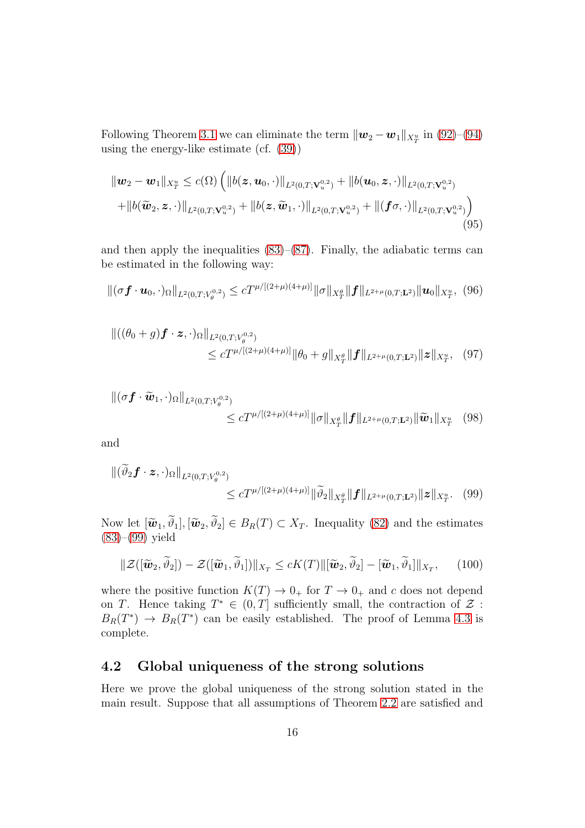Following Theorem [3.1](#page-7-2) we can eliminate the term  $\|\boldsymbol{w}_2 - \boldsymbol{w}_1\|_{X_T^u}$  in [\(92\)](#page-14-0)–[\(94\)](#page-14-0) using the energy-like estimate (cf. [\(39\)](#page-7-3))

$$
\|\boldsymbol{w}_2 - \boldsymbol{w}_1\|_{X_T^u} \le c(\Omega) \left( \|b(\boldsymbol{z}, \boldsymbol{u}_0, \cdot)\|_{L^2(0,T; \mathbf{V}_u^{0,2})} + \|b(\boldsymbol{u}_0, \boldsymbol{z}, \cdot)\|_{L^2(0,T; \mathbf{V}_u^{0,2})} \right.\\
+ \|b(\widetilde{\boldsymbol{w}}_2, \boldsymbol{z}, \cdot)\|_{L^2(0,T; \mathbf{V}_u^{0,2})} + \|b(\boldsymbol{z}, \widetilde{\boldsymbol{w}}_1, \cdot)\|_{L^2(0,T; \mathbf{V}_u^{0,2})} + \|(\boldsymbol{f}\sigma, \cdot)\|_{L^2(0,T; \mathbf{V}_u^{0,2})} \right) \tag{95}
$$

and then apply the inequalities  $(83)$ – $(87)$ . Finally, the adiabatic terms can be estimated in the following way:

$$
\|(\sigma \boldsymbol{f} \cdot \boldsymbol{u}_0, \cdot)_{\Omega}\|_{L^2(0,T;V_{\theta}^{0,2})} \leq cT^{\mu/[(2+\mu)(4+\mu)]} \|\sigma\|_{X_T^{\theta}} \|\boldsymbol{f}\|_{L^{2+\mu}(0,T;L^2)} \|\boldsymbol{u}_0\|_{X_T^u},
$$
(96)

$$
\begin{split} \|((\theta_0 + g)\boldsymbol{f} \cdot \boldsymbol{z}, \cdot)_{\Omega}\|_{L^2(0,T; V_{\theta}^{0,2})} \\ &\le cT^{\mu/[ (2+\mu)(4+\mu)]} \|\theta_0 + g\|_{X_T^{\theta}} \|\boldsymbol{f}\|_{L^{2+\mu}(0,T; \mathbf{L}^2)} \|\boldsymbol{z}\|_{X_T^u}, \end{split} (97)
$$

$$
\| (\sigma \boldsymbol{f} \cdot \widetilde{\boldsymbol{w}}_1, \cdot)_{\Omega} \|_{L^2(0,T; V^{0,2}_{\theta})} \leq c T^{\mu/[(2+\mu)(4+\mu)]} \|\sigma\|_{X^{\theta}_{T}} \| \boldsymbol{f} \|_{L^{2+\mu}(0,T; \mathbf{L}^2)} \|\widetilde{\boldsymbol{w}}_1\|_{X^u_{T}} \tag{98}
$$

and

$$
\| (\vartheta_2 \mathbf{f} \cdot \mathbf{z}, \cdot)_{\Omega} \|_{L^2(0,T; V^{0,2}_{\theta})} \leq c T^{\mu/[(2+\mu)(4+\mu)]} \|\widetilde{\vartheta}_2 \|_{X^{\theta}_T} \| \mathbf{f} \|_{L^{2+\mu}(0,T; \mathbf{L}^2)} \| \mathbf{z} \|_{X^u_T}.
$$
 (99)

Now let  $[\tilde{\mathbf{w}}_1, \tilde{\vartheta}_1], [\tilde{\mathbf{w}}_2, \tilde{\vartheta}_2] \in B_R(T) \subset X_T$ . Inequality [\(82\)](#page-14-2) and the estimates [\(83\)](#page-14-1)–[\(99\)](#page-15-1) yield

<span id="page-15-1"></span>
$$
\|\mathcal{Z}([\widetilde{\boldsymbol{w}}_2, \widetilde{\vartheta}_2]) - \mathcal{Z}([\widetilde{\boldsymbol{w}}_1, \widetilde{\vartheta}_1])\|_{X_T} \le cK(T) \|\overline{[\widetilde{\boldsymbol{w}}_2, \widetilde{\vartheta}_2]} - [\widetilde{\boldsymbol{w}}_1, \widetilde{\vartheta}_1]\|_{X_T},\qquad(100)
$$

where the positive function  $K(T) \to 0_+$  for  $T \to 0_+$  and c does not depend on T. Hence taking  $T^* \in (0,T]$  sufficiently small, the contraction of  $\mathcal{Z}$ :  $B_R(T^*) \to B_R(T^*)$  can be easily established. The proof of Lemma [4.3](#page-13-1) is complete.

#### <span id="page-15-0"></span>4.2 Global uniqueness of the strong solutions

Here we prove the global uniqueness of the strong solution stated in the main result. Suppose that all assumptions of Theorem [2.2](#page-6-0) are satisfied and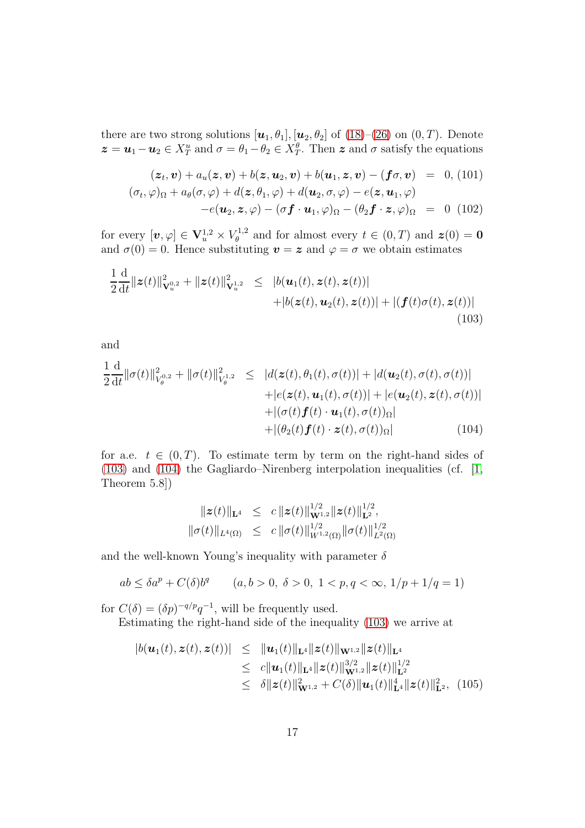there are two strong solutions  $[\boldsymbol{u}_1, \theta_1], [\boldsymbol{u}_2, \theta_2]$  of [\(18\)](#page-5-0)–[\(26\)](#page-5-1) on  $(0, T)$ . Denote  $\bm{z} = \bm{u}_1 - \bm{u}_2 \in X_T^u$  and  $\sigma = \theta_1 - \theta_2 \in X_T^{\theta}$ . Then  $\bm{z}$  and  $\sigma$  satisfy the equations

$$
(z_t, v) + a_u(z, v) + b(z, u_2, v) + b(u_1, z, v) - (f\sigma, v) = 0, (101)
$$
  

$$
(\sigma_t, \varphi)_{\Omega} + a_{\theta}(\sigma, \varphi) + d(z, \theta_1, \varphi) + d(u_2, \sigma, \varphi) - e(z, u_1, \varphi)
$$
  

$$
-e(u_2, z, \varphi) - (\sigma f \cdot u_1, \varphi)_{\Omega} - (\theta_2 f \cdot z, \varphi)_{\Omega} = 0
$$
 (102)

for every  $[\boldsymbol{v}, \varphi] \in \mathbf{V}^{1,2}_u \times V^{1,2}_\theta$  $\mathbf{z}_{\theta}^{t,2}$  and for almost every  $t \in (0,T)$  and  $\mathbf{z}(0) = \mathbf{0}$ and  $\sigma(0) = 0$ . Hence substituting  $\mathbf{v} = \mathbf{z}$  and  $\varphi = \sigma$  we obtain estimates

<span id="page-16-0"></span>
$$
\frac{1}{2}\frac{\mathrm{d}}{\mathrm{d}t}||\mathbf{z}(t)||_{\mathbf{V}_{u}^{0,2}}^{2} + ||\mathbf{z}(t)||_{\mathbf{V}_{u}^{1,2}}^{2} \leq |b(\mathbf{u}_{1}(t),\mathbf{z}(t),\mathbf{z}(t))| + |(\mathbf{f}(t)\sigma(t),\mathbf{z}(t))| + |b(\mathbf{z}(t),\mathbf{u}_{2}(t),\mathbf{z}(t))| + |(\mathbf{f}(t)\sigma(t),\mathbf{z}(t))| \tag{103}
$$

and

<span id="page-16-1"></span>
$$
\frac{1}{2} \frac{\mathrm{d}}{\mathrm{d}t} ||\sigma(t)||_{V_{\theta}^{0,2}}^{2} + ||\sigma(t)||_{V_{\theta}^{1,2}}^{2} \leq |d(\mathbf{z}(t), \theta_{1}(t), \sigma(t))| + |d(\mathbf{u}_{2}(t), \sigma(t), \sigma(t))| \n+ |e(\mathbf{z}(t), \mathbf{u}_{1}(t), \sigma(t))| + |e(\mathbf{u}_{2}(t), \mathbf{z}(t), \sigma(t))| \n+ |(\sigma(t)\mathbf{f}(t) \cdot \mathbf{u}_{1}(t), \sigma(t))_{\Omega}| \n+ |(\theta_{2}(t)\mathbf{f}(t) \cdot \mathbf{z}(t), \sigma(t))_{\Omega}| \n\tag{104}
$$

for a.e.  $t \in (0, T)$ . To estimate term by term on the right-hand sides of [\(103\)](#page-16-0) and [\(104\)](#page-16-1) the Gagliardo–Nirenberg interpolation inequalities (cf. [\[1,](#page-19-9) Theorem 5.8])

$$
\|z(t)\|_{\mathbf{L}^{4}} \leq c \|z(t)\|_{\mathbf{W}^{1,2}}^{1/2} \|z(t)\|_{\mathbf{L}^{2}}^{1/2},
$$
  

$$
\|\sigma(t)\|_{L^{4}(\Omega)} \leq c \|\sigma(t)\|_{W^{1,2}(\Omega)}^{1/2} \|\sigma(t)\|_{L^{2}(\Omega)}^{1/2}
$$

and the well-known Young's inequality with parameter  $\delta$ 

$$
ab \le \delta a^p + C(\delta)b^q \qquad (a, b > 0, \ \delta > 0, \ 1 < p, q < \infty, \ 1/p + 1/q = 1)
$$

for  $C(\delta) = (\delta p)^{-q/p}q^{-1}$ , will be frequently used.

Estimating the right-hand side of the inequality [\(103\)](#page-16-0) we arrive at

<span id="page-16-2"></span>
$$
|b(\mathbf{u}_1(t), \mathbf{z}(t), \mathbf{z}(t))| \leq \|\mathbf{u}_1(t)\|_{\mathbf{L}^4} \|\mathbf{z}(t)\|_{\mathbf{W}^{1,2}} \|\mathbf{z}(t)\|_{\mathbf{L}^4}
$$
  
\n
$$
\leq c \|\mathbf{u}_1(t)\|_{\mathbf{L}^4} \|\mathbf{z}(t)\|_{\mathbf{W}^{1,2}}^{3/2} \|\mathbf{z}(t)\|_{\mathbf{L}^2}^{1/2}
$$
  
\n
$$
\leq \delta \|\mathbf{z}(t)\|_{\mathbf{W}^{1,2}}^2 + C(\delta) \|\mathbf{u}_1(t)\|_{\mathbf{L}^4}^4 \|\mathbf{z}(t)\|_{\mathbf{L}^2}^2, \quad (105)
$$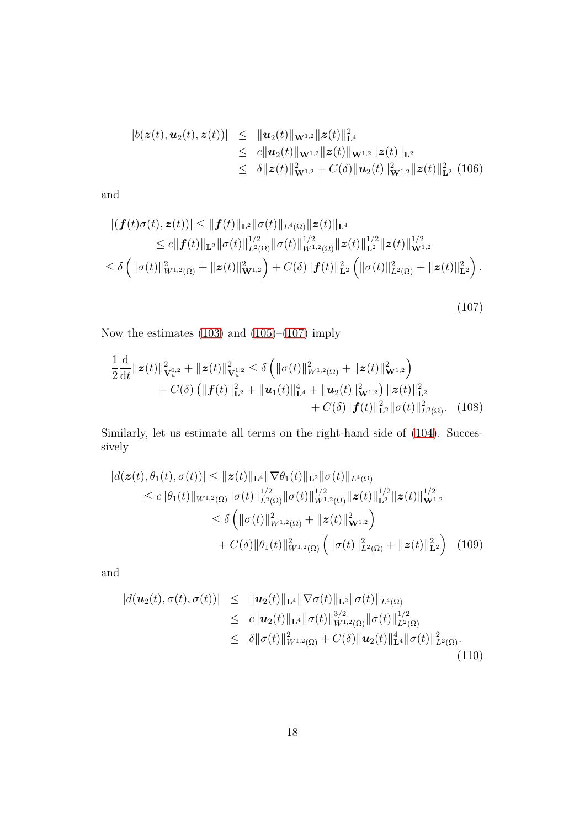$$
|b(\mathbf{z}(t), \mathbf{u}_2(t), \mathbf{z}(t))| \leq \| \mathbf{u}_2(t) \|_{\mathbf{W}^{1,2}} \|\mathbf{z}(t)\|_{\mathbf{L}^4}^2
$$
  
\n
$$
\leq c \|\mathbf{u}_2(t)\|_{\mathbf{W}^{1,2}} \|\mathbf{z}(t)\|_{\mathbf{W}^{1,2}} \|\mathbf{z}(t)\|_{\mathbf{L}^2}
$$
  
\n
$$
\leq \delta \|\mathbf{z}(t)\|_{\mathbf{W}^{1,2}}^2 + C(\delta) \|\mathbf{u}_2(t)\|_{\mathbf{W}^{1,2}}^2 \|\mathbf{z}(t)\|_{\mathbf{L}^2}^2 (106)
$$

and

$$
|(\boldsymbol{f}(t)\sigma(t),\boldsymbol{z}(t))| \leq \|\boldsymbol{f}(t)\|_{\mathbf{L}^{2}} \|\sigma(t)\|_{L^{4}(\Omega)} \|\boldsymbol{z}(t)\|_{\mathbf{L}^{4}} \leq c \|\boldsymbol{f}(t)\|_{\mathbf{L}^{2}} \|\sigma(t)\|_{L^{2}(\Omega)}^{1/2} \|\sigma(t)\|_{W^{1,2}(\Omega)}^{1/2} \|\boldsymbol{z}(t)\|_{\mathbf{L}^{2}}^{1/2} \|\boldsymbol{z}(t)\|_{\mathbf{W}^{1,2}}^{1/2} \leq \delta \left( \|\sigma(t)\|_{W^{1,2}(\Omega)}^{2} + \|\boldsymbol{z}(t)\|_{\mathbf{W}^{1,2}}^{2} \right) + C(\delta) \|\boldsymbol{f}(t)\|_{\mathbf{L}^{2}}^{2} \left( \|\sigma(t)\|_{L^{2}(\Omega)}^{2} + \|\boldsymbol{z}(t)\|_{\mathbf{L}^{2}}^{2} \right).
$$

<span id="page-17-2"></span><span id="page-17-1"></span><span id="page-17-0"></span>(107)

Now the estimates  $(103)$  and  $(105)–(107)$  $(105)–(107)$  imply

$$
\frac{1}{2}\frac{\mathrm{d}}{\mathrm{d}t}||\mathbf{z}(t)||_{\mathbf{V}_{u}^{0,2}}^{2} + ||\mathbf{z}(t)||_{\mathbf{V}_{u}^{1,2}}^{2} \leq \delta \left( ||\sigma(t)||_{W^{1,2}(\Omega)}^{2} + ||\mathbf{z}(t)||_{\mathbf{W}^{1,2}}^{2}\right) \n+ C(\delta) \left( ||\mathbf{f}(t)||_{\mathbf{L}^{2}}^{2} + ||\mathbf{u}_{1}(t)||_{\mathbf{L}^{4}}^{4} + ||\mathbf{u}_{2}(t)||_{\mathbf{W}^{1,2}}^{2}\right) ||\mathbf{z}(t)||_{\mathbf{L}^{2}}^{2} \n+ C(\delta) ||\mathbf{f}(t)||_{\mathbf{L}^{2}}^{2} ||\sigma(t)||_{\mathbf{L}^{2}(\Omega)}^{2}.
$$
\n(108)

Similarly, let us estimate all terms on the right-hand side of [\(104\)](#page-16-1). Successively

$$
|d(\mathbf{z}(t), \theta_1(t), \sigma(t))| \leq \|\mathbf{z}(t)\|_{\mathbf{L}^{4}} \|\nabla \theta_1(t)\|_{\mathbf{L}^{2}} \|\sigma(t)\|_{L^{4}(\Omega)}
$$
  
\n
$$
\leq c \|\theta_1(t)\|_{W^{1,2}(\Omega)} \|\sigma(t)\|_{L^{2}(\Omega)}^{1/2} \|\sigma(t)\|_{W^{1,2}(\Omega)}^{1/2} \|\mathbf{z}(t)\|_{\mathbf{L}^{2}}^{1/2} \|\mathbf{z}(t)\|_{\mathbf{W}^{1,2}}^{1/2}
$$
  
\n
$$
\leq \delta \left( \|\sigma(t)\|_{W^{1,2}(\Omega)}^{2} + \|\mathbf{z}(t)\|_{\mathbf{W}^{1,2}}^{2} \right) + C(\delta) \|\theta_1(t)\|_{W^{1,2}(\Omega)}^{2} \left( \|\sigma(t)\|_{L^{2}(\Omega)}^{2} + \|\mathbf{z}(t)\|_{\mathbf{L}^{2}}^{2} \right) (109)
$$

and

$$
|d(\mathbf{u}_2(t), \sigma(t), \sigma(t))| \leq \|\mathbf{u}_2(t)\|_{\mathbf{L}^4} \|\nabla \sigma(t)\|_{\mathbf{L}^2} \|\sigma(t)\|_{L^4(\Omega)}
$$
  
\n
$$
\leq c \|\mathbf{u}_2(t)\|_{\mathbf{L}^4} \|\sigma(t)\|_{W^{1,2}(\Omega)}^{3/2} \|\sigma(t)\|_{L^2(\Omega)}^{1/2}
$$
  
\n
$$
\leq \delta \|\sigma(t)\|_{W^{1,2}(\Omega)}^2 + C(\delta) \|\mathbf{u}_2(t)\|_{\mathbf{L}^4}^4 \|\sigma(t)\|_{L^2(\Omega)}^2.
$$
\n(110)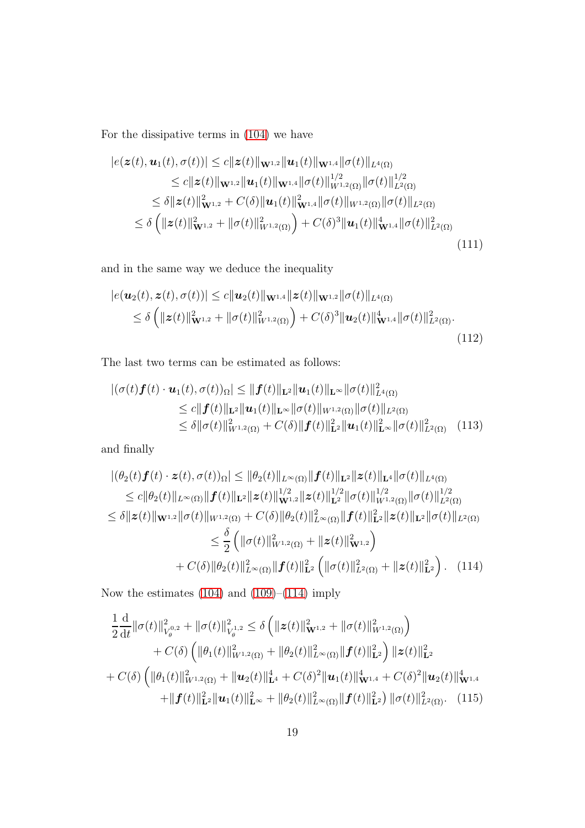For the dissipative terms in [\(104\)](#page-16-1) we have

$$
|e(\mathbf{z}(t), \mathbf{u}_{1}(t), \sigma(t))| \leq c ||\mathbf{z}(t)||_{\mathbf{W}^{1,2}} ||\mathbf{u}_{1}(t)||_{\mathbf{W}^{1,4}} ||\sigma(t)||_{L^{4}(\Omega)}
$$
  
\n
$$
\leq c ||\mathbf{z}(t)||_{\mathbf{W}^{1,2}} ||\mathbf{u}_{1}(t)||_{\mathbf{W}^{1,4}} ||\sigma(t)||_{W^{1,2}(\Omega)}^{1/2} ||\sigma(t)||_{L^{2}(\Omega)}^{1/2}
$$
  
\n
$$
\leq \delta ||\mathbf{z}(t)||_{\mathbf{W}^{1,2}}^{2} + C(\delta) ||\mathbf{u}_{1}(t)||_{\mathbf{W}^{1,4}}^{2} ||\sigma(t)||_{W^{1,2}(\Omega)} ||\sigma(t)||_{L^{2}(\Omega)}
$$
  
\n
$$
\leq \delta (||\mathbf{z}(t)||_{\mathbf{W}^{1,2}}^{2} + ||\sigma(t)||_{W^{1,2}(\Omega)}^{2}) + C(\delta)^{3} ||\mathbf{u}_{1}(t)||_{\mathbf{W}^{1,4}}^{4} ||\sigma(t)||_{L^{2}(\Omega)}^{2}
$$
\n(111)

and in the same way we deduce the inequality

$$
|e(\mathbf{u}_2(t), \mathbf{z}(t), \sigma(t))| \leq c \|\mathbf{u}_2(t)\|_{\mathbf{W}^{1,4}} \|\mathbf{z}(t)\|_{\mathbf{W}^{1,2}} \|\sigma(t)\|_{L^4(\Omega)}
$$
  
\n
$$
\leq \delta \left( \|\mathbf{z}(t)\|_{\mathbf{W}^{1,2}}^2 + \|\sigma(t)\|_{W^{1,2}(\Omega)}^2 \right) + C(\delta)^3 \|\mathbf{u}_2(t)\|_{\mathbf{W}^{1,4}}^4 \|\sigma(t)\|_{L^2(\Omega)}^2.
$$
\n(112)

The last two terms can be estimated as follows:

$$
\begin{split} |(\sigma(t)\bm{f}(t)\cdot\bm{u}_{1}(t),\sigma(t))_{\Omega}| &\leq \|\bm{f}(t)\|_{\mathbf{L}^{2}}\|\bm{u}_{1}(t)\|_{\mathbf{L}^{\infty}}\|\sigma(t)\|_{L^{4}(\Omega)}^{2} \\ &\leq c\|\bm{f}(t)\|_{\mathbf{L}^{2}}\|\bm{u}_{1}(t)\|_{\mathbf{L}^{\infty}}\|\sigma(t)\|_{W^{1,2}(\Omega)}\|\sigma(t)\|_{L^{2}(\Omega)} \\ &\leq \delta\|\sigma(t)\|_{W^{1,2}(\Omega)}^{2}+C(\delta)\|\bm{f}(t)\|_{\mathbf{L}^{2}}^{2}\|\bm{u}_{1}(t)\|_{\mathbf{L}^{\infty}}^{2}\|\sigma(t)\|_{L^{2}(\Omega)}^{2} \end{split} \tag{113}
$$

and finally

$$
\begin{split}\n|(\theta_{2}(t) \boldsymbol{f}(t) \cdot \boldsymbol{z}(t), \sigma(t))_{\Omega}| &\leq \|\theta_{2}(t)\|_{L^{\infty}(\Omega)} \|\boldsymbol{f}(t)\|_{\mathbf{L}^{2}} \|\boldsymbol{z}(t)\|_{\mathbf{L}^{4}} \|\sigma(t)\|_{L^{4}(\Omega)} \\
&\leq c \|\theta_{2}(t)\|_{L^{\infty}(\Omega)} \|\boldsymbol{f}(t)\|_{\mathbf{L}^{2}} \|\boldsymbol{z}(t)\|_{\mathbf{W}^{1,2}}^{1/2} \|\sigma(t)\|_{\mathbf{W}^{1,2}(\Omega)}^{1/2} \|\sigma(t)\|_{L^{2}(\Omega)}^{1/2} \\
&\leq \delta \|\boldsymbol{z}(t)\|_{\mathbf{W}^{1,2}} \|\sigma(t)\|_{W^{1,2}(\Omega)} + C(\delta) \|\theta_{2}(t)\|_{L^{\infty}(\Omega)}^{2} \|\boldsymbol{f}(t)\|_{\mathbf{L}^{2}}^{2} \|\boldsymbol{z}(t)\|_{\mathbf{L}^{2}} \|\sigma(t)\|_{L^{2}(\Omega)} \\
&\leq \frac{\delta}{2} \left( \|\sigma(t)\|_{W^{1,2}(\Omega)}^{2} + \|\boldsymbol{z}(t)\|_{\mathbf{W}^{1,2}}^{2} \right) \\
&\quad + C(\delta) \|\theta_{2}(t)\|_{L^{\infty}(\Omega)}^{2} \|\boldsymbol{f}(t)\|_{\mathbf{L}^{2}}^{2} \left( \|\sigma(t)\|_{L^{2}(\Omega)}^{2} + \|\boldsymbol{z}(t)\|_{\mathbf{L}^{2}}^{2} \right). \tag{114}\n\end{split}
$$

Now the estimates [\(104\)](#page-16-1) and [\(109\)](#page-17-1)–[\(114\)](#page-18-0) imply

<span id="page-18-1"></span><span id="page-18-0"></span>
$$
\frac{1}{2} \frac{d}{dt} ||\sigma(t)||_{V_{\theta}^{0,2}}^{2} + ||\sigma(t)||_{V_{\theta}^{1,2}}^{2} \leq \delta \left( ||z(t)||_{\mathbf{W}^{1,2}}^{2} + ||\sigma(t)||_{W^{1,2}(\Omega)}^{2} \right) \n+ C(\delta) \left( ||\theta_{1}(t)||_{W^{1,2}(\Omega)}^{2} + ||\theta_{2}(t)||_{L^{\infty}(\Omega)}^{2} ||f(t)||_{\mathbf{L}^{2}}^{2} \right) ||z(t)||_{\mathbf{L}^{2}}^{2} \n+ C(\delta) \left( ||\theta_{1}(t)||_{W^{1,2}(\Omega)}^{2} + ||\mathbf{u}_{2}(t)||_{\mathbf{L}^{4}}^{4} + C(\delta)^{2} ||\mathbf{u}_{1}(t)||_{\mathbf{W}^{1,4}}^{4} + C(\delta)^{2} ||\mathbf{u}_{2}(t)||_{\mathbf{W}^{1,4}}^{4} \n+ ||\mathbf{f}(t)||_{\mathbf{L}^{2}}^{2} ||\mathbf{u}_{1}(t)||_{\mathbf{L}^{\infty}}^{2} + ||\theta_{2}(t)||_{L^{\infty}(\Omega)}^{2} ||\mathbf{f}(t)||_{\mathbf{L}^{2}}^{2} \right) ||\sigma(t)||_{L^{2}(\Omega)}^{2}.
$$
\n(115)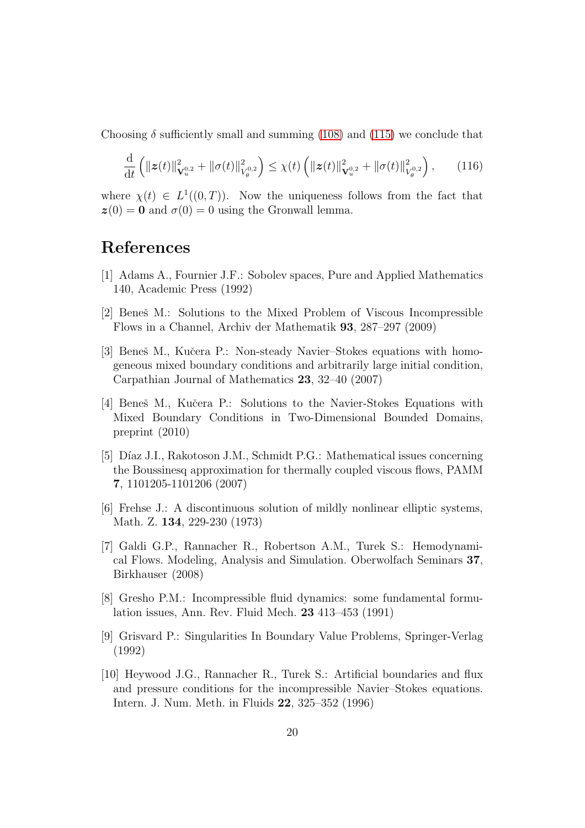Choosing  $\delta$  sufficiently small and summing [\(108\)](#page-17-2) and [\(115\)](#page-18-1) we conclude that

$$
\frac{\mathrm{d}}{\mathrm{d}t}\left(\|\boldsymbol{z}(t)\|_{\mathbf{V}_u^{0,2}}^2 + \|\sigma(t)\|_{V_{\theta}^{0,2}}^2\right) \leq \chi(t)\left(\|\boldsymbol{z}(t)\|_{\mathbf{V}_u^{0,2}}^2 + \|\sigma(t)\|_{V_{\theta}^{0,2}}^2\right),\tag{116}
$$

where  $\chi(t) \in L^1((0,T))$ . Now the uniqueness follows from the fact that  $z(0) = 0$  and  $\sigma(0) = 0$  using the Gronwall lemma.

### <span id="page-19-9"></span>References

- <span id="page-19-4"></span>[1] Adams A., Fournier J.F.: Sobolev spaces, Pure and Applied Mathematics 140, Academic Press (1992)
- <span id="page-19-6"></span>[2] Beneˇs M.: Solutions to the Mixed Problem of Viscous Incompressible Flows in a Channel, Archiv der Mathematik 93, 287–297 (2009)
- [3] Beneš M., Kučera P.: Non-steady Navier–Stokes equations with homogeneous mixed boundary conditions and arbitrarily large initial condition, Carpathian Journal of Mathematics 23, 32–40 (2007)
- <span id="page-19-7"></span>[4] Beneš M., Kučera P.: Solutions to the Navier-Stokes Equations with Mixed Boundary Conditions in Two-Dimensional Bounded Domains, preprint (2010)
- <span id="page-19-0"></span>[5] Díaz J.I., Rakotoson J.M., Schmidt P.G.: Mathematical issues concerning the Boussinesq approximation for thermally coupled viscous flows, PAMM 7, 1101205-1101206 (2007)
- <span id="page-19-5"></span>[6] Frehse J.: A discontinuous solution of mildly nonlinear elliptic systems, Math. Z. 134, 229-230 (1973)
- <span id="page-19-1"></span>[7] Galdi G.P., Rannacher R., Robertson A.M., Turek S.: Hemodynamical Flows. Modeling, Analysis and Simulation. Oberwolfach Seminars 37, Birkhauser (2008)
- <span id="page-19-2"></span>[8] Gresho P.M.: Incompressible fluid dynamics: some fundamental formulation issues, Ann. Rev. Fluid Mech. 23 413–453 (1991)
- <span id="page-19-8"></span>[9] Grisvard P.: Singularities In Boundary Value Problems, Springer-Verlag (1992)
- <span id="page-19-3"></span>[10] Heywood J.G., Rannacher R., Turek S.: Artificial boundaries and flux and pressure conditions for the incompressible Navier–Stokes equations. Intern. J. Num. Meth. in Fluids 22, 325–352 (1996)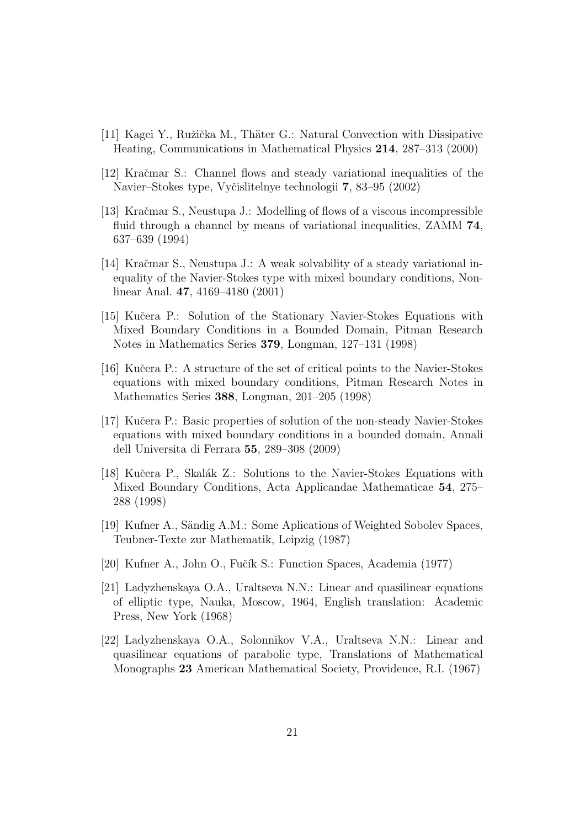- <span id="page-20-5"></span><span id="page-20-0"></span>[11] Kagei Y., Ružička M., Thäter G.: Natural Convection with Dissipative Heating, Communications in Mathematical Physics 214, 287–313 (2000)
- [12] Kraˇcmar S.: Channel flows and steady variational inequalities of the Navier–Stokes type, Vyčislitelnye technologii 7, 83–95 (2002)
- [13] Kraˇcmar S., Neustupa J.: Modelling of flows of a viscous incompressible fluid through a channel by means of variational inequalities, ZAMM 74, 637–639 (1994)
- <span id="page-20-6"></span>[14] Kraˇcmar S., Neustupa J.: A weak solvability of a steady variational inequality of the Navier-Stokes type with mixed boundary conditions, Nonlinear Anal. 47, 4169–4180 (2001)
- [15] Kučera P.: Solution of the Stationary Navier-Stokes Equations with Mixed Boundary Conditions in a Bounded Domain, Pitman Research Notes in Mathematics Series 379, Longman, 127–131 (1998)
- [16] Kučera P.: A structure of the set of critical points to the Navier-Stokes equations with mixed boundary conditions, Pitman Research Notes in Mathematics Series 388, Longman, 201–205 (1998)
- <span id="page-20-8"></span>[17] Kučera P.: Basic properties of solution of the non-steady Navier-Stokes equations with mixed boundary conditions in a bounded domain, Annali dell Universita di Ferrara 55, 289–308 (2009)
- <span id="page-20-7"></span>[18] Kučera P., Skalák Z.: Solutions to the Navier-Stokes Equations with Mixed Boundary Conditions, Acta Applicandae Mathematicae 54, 275– 288 (1998)
- <span id="page-20-2"></span>[19] Kufner A., Sändig A.M.: Some Aplications of Weighted Sobolev Spaces, Teubner-Texte zur Mathematik, Leipzig (1987)
- <span id="page-20-3"></span><span id="page-20-1"></span>[20] Kufner A., John O., Fučík S.: Function Spaces, Academia (1977)
- [21] Ladyzhenskaya O.A., Uraltseva N.N.: Linear and quasilinear equations of elliptic type, Nauka, Moscow, 1964, English translation: Academic Press, New York (1968)
- <span id="page-20-4"></span>[22] Ladyzhenskaya O.A., Solonnikov V.A., Uraltseva N.N.: Linear and quasilinear equations of parabolic type, Translations of Mathematical Monographs 23 American Mathematical Society, Providence, R.I. (1967)